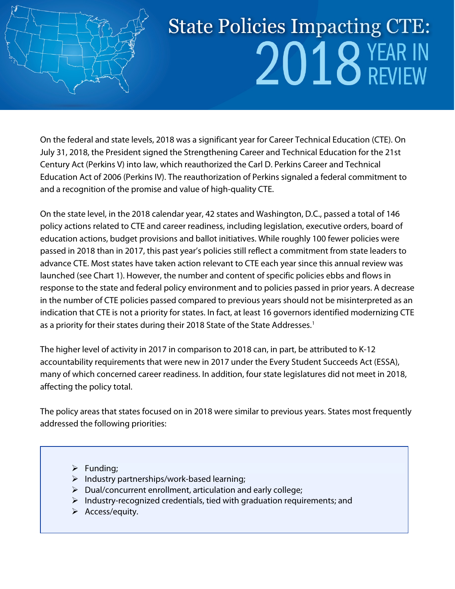

# **State Policies Impacting CTE:**  $2018$  YEAR IN

On the federal and state levels, 2018 was a significant year for Career Technical Education (CTE). On July 31, 2018, the President signed the Strengthening Career and Technical Education for the 21st Century Act (Perkins V) into law, which reauthorized the Carl D. Perkins Career and Technical Education Act of 2006 (Perkins IV). The reauthorization of Perkins signaled a federal commitment to and a recognition of the promise and value of high-quality CTE.

On the state level, in the 2018 calendar year, 42 states and Washington, D.C., passed a total of 146 policy actions related to CTE and career readiness, including legislation, executive orders, board of education actions, budget provisions and ballot initiatives. While roughly 100 fewer policies were passed in 2018 than in 2017, this past year's policies still reflect a commitment from state leaders to advance CTE. Most states have taken action relevant to CTE each year since this annual review was launched (see Chart 1). However, the number and content of specific policies ebbs and flows in response to the state and federal policy environment and to policies passed in prior years. A decrease in the number of CTE policies passed compared to previous years should not be misinterpreted as an indication that CTE is not a priority for states. In fact, at least 16 governors identified modernizing CTE as a priority for their states during their 20[1](#page-33-0)8 State of the State Addresses.<sup>1</sup>

The higher level of activity in 2017 in comparison to 2018 can, in part, be attributed to K-12 accountability requirements that were new in 2017 under the Every Student Succeeds Act (ESSA), many of which concerned career readiness. In addition, four state legislatures did not meet in 2018, affecting the policy total.

The policy areas that states focused on in 2018 were similar to previous years. States most frequently addressed the following priorities:

- $\triangleright$  Funding;
- $\triangleright$  Industry partnerships/work-based learning;
- $\triangleright$  Dual/concurrent enrollment, articulation and early college;
- $\triangleright$  Industry-recognized credentials, tied with graduation requirements; and
- $\triangleright$  Access/equity.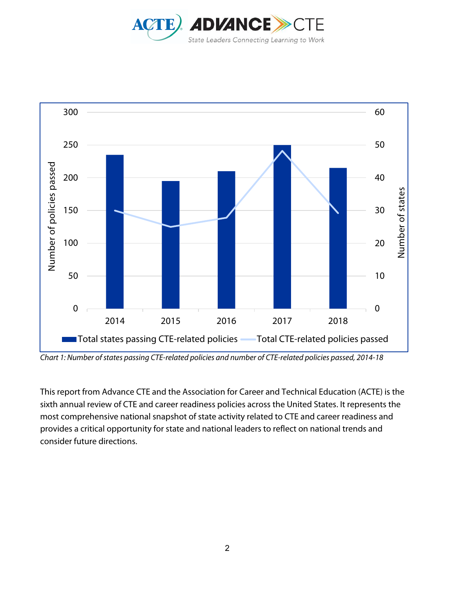



*Chart 1: Number of states passing CTE-related policies and number of CTE-related policies passed, 2014-18*

This report from Advance CTE and the Association for Career and Technical Education (ACTE) is the sixth annual review of CTE and career readiness policies across the United States. It represents the most comprehensive national snapshot of state activity related to CTE and career readiness and provides a critical opportunity for state and national leaders to reflect on national trends and consider future directions.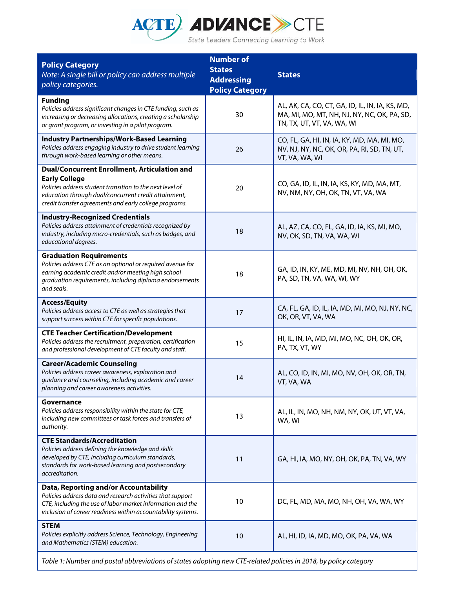

| <b>Policy Category</b><br>Note: A single bill or policy can address multiple<br>policy categories.                                                                                                                                                        | <b>Number of</b><br><b>States</b><br><b>Addressing</b><br><b>Policy Category</b> | <b>States</b>                                                                                                                |
|-----------------------------------------------------------------------------------------------------------------------------------------------------------------------------------------------------------------------------------------------------------|----------------------------------------------------------------------------------|------------------------------------------------------------------------------------------------------------------------------|
| <b>Funding</b><br>Policies address significant changes in CTE funding, such as<br>increasing or decreasing allocations, creating a scholarship<br>or grant program, or investing in a pilot program.                                                      | 30                                                                               | AL, AK, CA, CO, CT, GA, ID, IL, IN, IA, KS, MD,<br>MA, MI, MO, MT, NH, NJ, NY, NC, OK, PA, SD,<br>TN, TX, UT, VT, VA, WA, WI |
| <b>Industry Partnerships/Work-Based Learning</b><br>Policies address engaging industry to drive student learning<br>through work-based learning or other means.                                                                                           | 26                                                                               | CO, FL, GA, HI, IN, IA, KY, MD, MA, MI, MO,<br>NV, NJ, NY, NC, OK, OR, PA, RI, SD, TN, UT,<br>VT, VA, WA, WI                 |
| <b>Dual/Concurrent Enrollment, Articulation and</b><br><b>Early College</b><br>Policies address student transition to the next level of<br>education through dual/concurrent credit attainment,<br>credit transfer agreements and early college programs. | 20                                                                               | CO, GA, ID, IL, IN, IA, KS, KY, MD, MA, MT,<br>NV, NM, NY, OH, OK, TN, VT, VA, WA                                            |
| <b>Industry-Recognized Credentials</b><br>Policies address attainment of credentials recognized by<br>industry, including micro-credentials, such as badges, and<br>educational degrees.                                                                  | 18                                                                               | AL, AZ, CA, CO, FL, GA, ID, IA, KS, MI, MO,<br>NV, OK, SD, TN, VA, WA, WI                                                    |
| <b>Graduation Requirements</b><br>Policies address CTE as an optional or required avenue for<br>earning academic credit and/or meeting high school<br>graduation requirements, including diploma endorsements<br>and seals.                               | 18                                                                               | GA, ID, IN, KY, ME, MD, MI, NV, NH, OH, OK,<br>PA, SD, TN, VA, WA, WI, WY                                                    |
| <b>Access/Equity</b><br>Policies address access to CTE as well as strategies that<br>support success within CTE for specific populations.                                                                                                                 | 17                                                                               | CA, FL, GA, ID, IL, IA, MD, MI, MO, NJ, NY, NC,<br>OK, OR, VT, VA, WA                                                        |
| <b>CTE Teacher Certification/Development</b><br>Policies address the recruitment, preparation, certification<br>and professional development of CTE faculty and staff.                                                                                    | 15                                                                               | HI, IL, IN, IA, MD, MI, MO, NC, OH, OK, OR,<br>PA, TX, VT, WY                                                                |
| <b>Career/Academic Counseling</b><br>Policies address career awareness, exploration and<br>guidance and counseling, including academic and career<br>planning and career awareness activities.                                                            | 14                                                                               | AL, CO, ID, IN, MI, MO, NV, OH, OK, OR, TN,<br>VT, VA, WA                                                                    |
| Governance<br>Policies address responsibility within the state for CTE,<br>including new committees or task forces and transfers of<br>authority.                                                                                                         | 13                                                                               | AL, IL, IN, MO, NH, NM, NY, OK, UT, VT, VA,<br>WA, WI                                                                        |
| <b>CTE Standards/Accreditation</b><br>Policies address defining the knowledge and skills<br>developed by CTE, including curriculum standards,<br>standards for work-based learning and postsecondary<br>accreditation.                                    | 11                                                                               | GA, HI, IA, MO, NY, OH, OK, PA, TN, VA, WY                                                                                   |
| Data, Reporting and/or Accountability<br>Policies address data and research activities that support<br>CTE, including the use of labor market information and the<br>inclusion of career readiness within accountability systems.                         | 10                                                                               | DC, FL, MD, MA, MO, NH, OH, VA, WA, WY                                                                                       |
| <b>STEM</b><br>Policies explicitly address Science, Technology, Engineering<br>and Mathematics (STEM) education.                                                                                                                                          | 10                                                                               | AL, HI, ID, IA, MD, MO, OK, PA, VA, WA                                                                                       |

*Table 1: Number and postal abbreviations ofstates adopting new CTE-related policies in 2018, by policy category*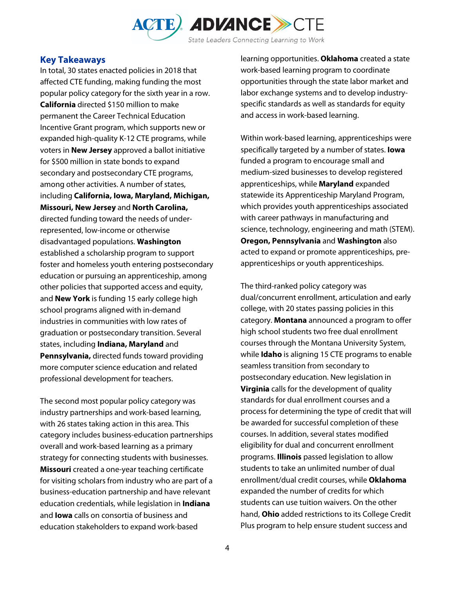

#### **Key Takeaways**

In total, 30 states enacted policies in 2018 that affected CTE funding, making funding the most popular policy category for the sixth year in a row. **California** directed \$150 million to make permanent the Career Technical Education Incentive Grant program, which supports new or expanded high-quality K-12 CTE programs, while voters in **New Jersey** approved a ballot initiative for \$500 million in state bonds to expand secondary and postsecondary CTE programs, among other activities. A number of states, including **California, Iowa, Maryland, Michigan, Missouri, New Jersey** and **North Carolina,** directed funding toward the needs of underrepresented, low-income or otherwise disadvantaged populations. **Washington**  established a scholarship program to support foster and homeless youth entering postsecondary education or pursuing an apprenticeship, among other policies that supported access and equity, and **New York** is funding 15 early college high school programs aligned with in-demand industries in communities with low rates of graduation or postsecondary transition. Several states, including **Indiana, Maryland** and **Pennsylvania,** directed funds toward providing more computer science education and related professional development for teachers.

The second most popular policy category was industry partnerships and work-based learning, with 26 states taking action in this area. This category includes business-education partnerships overall and work-based learning as a primary strategy for connecting students with businesses. **Missouri** created a one-year teaching certificate for visiting scholars from industry who are part of a business-education partnership and have relevant education credentials, while legislation in **Indiana** and **Iowa** calls on consortia of business and education stakeholders to expand work-based

learning opportunities. **Oklahoma** created a state work-based learning program to coordinate opportunities through the state labor market and labor exchange systems and to develop industryspecific standards as well as standards for equity and access in work-based learning.

Within work-based learning, apprenticeships were specifically targeted by a number of states. **Iowa** funded a program to encourage small and medium-sized businesses to develop registered apprenticeships, while **Maryland** expanded statewide its Apprenticeship Maryland Program, which provides youth apprenticeships associated with career pathways in manufacturing and science, technology, engineering and math (STEM). **Oregon, Pennsylvania** and **Washington** also acted to expand or promote apprenticeships, preapprenticeships or youth apprenticeships.

The third-ranked policy category was dual/concurrent enrollment, articulation and early college, with 20 states passing policies in this category. **Montana** announced a program to offer high school students two free dual enrollment courses through the Montana University System, while **Idaho** is aligning 15 CTE programs to enable seamless transition from secondary to postsecondary education. New legislation in **Virginia** calls for the development of quality standards for dual enrollment courses and a process for determining the type of credit that will be awarded for successful completion of these courses. In addition, several states modified eligibility for dual and concurrent enrollment programs. **Illinois** passed legislation to allow students to take an unlimited number of dual enrollment/dual credit courses, while **Oklahoma** expanded the number of credits for which students can use tuition waivers. On the other hand, **Ohio** added restrictions to its College Credit Plus program to help ensure student success and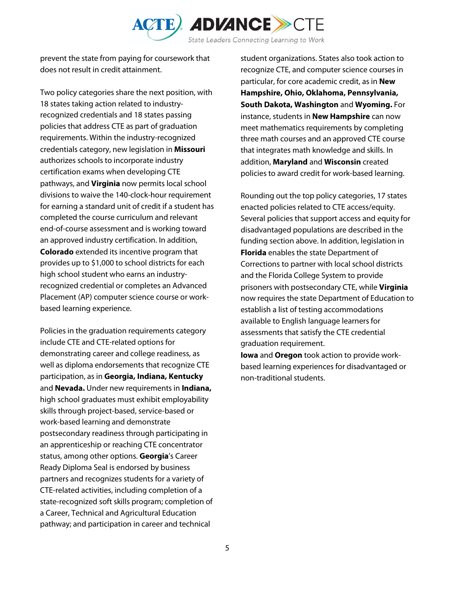

prevent the state from paying for coursework that does not result in credit attainment.

Two policy categories share the next position, with 18 states taking action related to industryrecognized credentials and 18 states passing policies that address CTE as part of graduation requirements. Within the industry-recognized credentials category, new legislation in **Missouri** authorizes schools to incorporate industry certification exams when developing CTE pathways, and **Virginia** now permits local school divisions to waive the 140-clock-hour requirement for earning a standard unit of credit if a student has completed the course curriculum and relevant end-of-course assessment and is working toward an approved industry certification. In addition, **Colorado** extended its incentive program that provides up to \$1,000 to school districts for each high school student who earns an industryrecognized credential or completes an Advanced Placement (AP) computer science course or workbased learning experience.

Policies in the graduation requirements category include CTE and CTE-related options for demonstrating career and college readiness, as well as diploma endorsements that recognize CTE participation, as in **Georgia, Indiana, Kentucky** and **Nevada.** Under new requirements in **Indiana,** high school graduates must exhibit employability skills through project-based, service-based or work-based learning and demonstrate postsecondary readiness through participating in an apprenticeship or reaching CTE concentrator status, among other options. **Georgia**'s Career Ready Diploma Seal is endorsed by business partners and recognizes students for a variety of CTE-related activities, including completion of a state-recognized soft skills program; completion of a Career, Technical and Agricultural Education pathway; and participation in career and technical

student organizations. States also took action to recognize CTE, and computer science courses in particular, for core academic credit, as in **New Hampshire, Ohio, Oklahoma, Pennsylvania, South Dakota, Washington** and **Wyoming.** For instance, students in **New Hampshire** can now meet mathematics requirements by completing three math courses and an approved CTE course that integrates math knowledge and skills. In addition, **Maryland** and **Wisconsin** created policies to award credit for work-based learning.

Rounding out the top policy categories, 17 states enacted policies related to CTE access/equity. Several policies that support access and equity for disadvantaged populations are described in the funding section above. In addition, legislation in **Florida** enables the state Department of Corrections to partner with local school districts and the Florida College System to provide prisoners with postsecondary CTE, while **Virginia** now requires the state Department of Education to establish a list of testing accommodations available to English language learners for assessments that satisfy the CTE credential graduation requirement.

**Iowa** and **Oregon** took action to provide workbased learning experiences for disadvantaged or non-traditional students.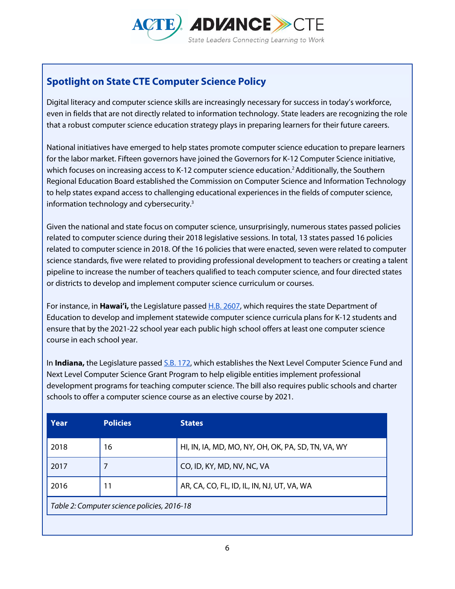

# **Spotlight on State CTE Computer Science Policy**

Digital literacy and computer science skills are increasingly necessary for success in today's workforce, even in fields that are not directly related to information technology. State leaders are recognizing the role that a robust computer science education strategy plays in preparing learners for their future careers.

National initiatives have emerged to help states promote computer science education to prepare learners for the labor market. Fifteen governors have joined the Governors for K-12 Computer Science initiative, which focuses on increasing access to K-12 computer science education.<sup>2</sup> Additionally, the Southern Regional Education Board established the Commission on Computer Science and Information Technology to help states expand access to challenging educational experiences in the fields of computer science, information technology and cybersecurity.3

Given the national and state focus on computer science, unsurprisingly, numerous states passed policies related to computer science during their 2018 legislative sessions. In total, 13 states passed 16 policies related to computer science in 2018. Of the 16 policies that were enacted, seven were related to computer science standards, five were related to providing professional development to teachers or creating a talent pipeline to increase the number of teachers qualified to teach computer science, and four directed states or districts to develop and implement computer science curriculum or courses.

For instance, in **Hawai'i,** the Legislature passe[d H.B. 2607,](https://www.capitol.hawaii.gov/Archives/measure_indiv_Archives.aspx?billtype=HB&billnumber=2607&year=2018) which requires the state Department of Education to develop and implement statewide computer science curricula plans for K-12 students and ensure that by the 2021-22 school year each public high school offers at least one computer science course in each school year.

In **Indiana,** the Legislature passed [S.B. 172,](http://iga.in.gov/legislative/2018/bills/senate/172/) which establishes the Next Level Computer Science Fund and Next Level Computer Science Grant Program to help eligible entities implement professional development programs for teaching computer science. The bill also requires public schools and charter schools to offer a computer science course as an elective course by 2021.

| <b>Policies</b>                             | <b>States</b>                                      |  |  |
|---------------------------------------------|----------------------------------------------------|--|--|
| 16                                          | HI, IN, IA, MD, MO, NY, OH, OK, PA, SD, TN, VA, WY |  |  |
|                                             | CO, ID, KY, MD, NV, NC, VA                         |  |  |
| 11                                          | AR, CA, CO, FL, ID, IL, IN, NJ, UT, VA, WA         |  |  |
| Table 2: Computer science policies, 2016-18 |                                                    |  |  |
|                                             |                                                    |  |  |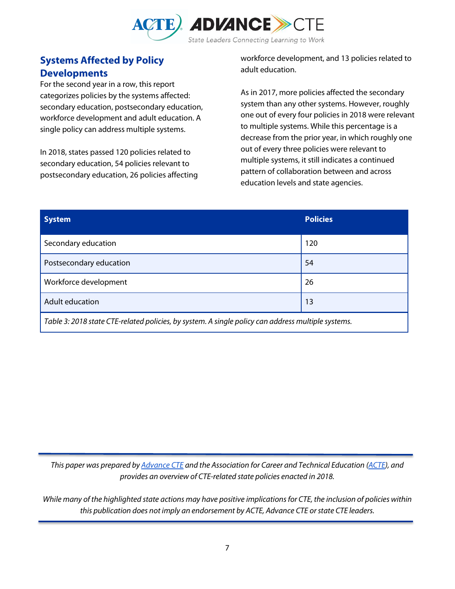

## **Systems Affected by Policy Developments**

For the second year in a row, this report categorizes policies by the systems affected: secondary education, postsecondary education, workforce development and adult education. A single policy can address multiple systems.

In 2018, states passed 120 policies related to secondary education, 54 policies relevant to postsecondary education, 26 policies affecting workforce development, and 13 policies related to adult education.

As in 2017, more policies affected the secondary system than any other systems. However, roughly one out of every four policies in 2018 were relevant to multiple systems. While this percentage is a decrease from the prior year, in which roughly one out of every three policies were relevant to multiple systems, it still indicates a continued pattern of collaboration between and across education levels and state agencies.

| <b>System</b>                                                                                      | <b>Policies</b> |  |
|----------------------------------------------------------------------------------------------------|-----------------|--|
| Secondary education                                                                                | 120             |  |
| Postsecondary education                                                                            | 54              |  |
| Workforce development                                                                              | 26              |  |
| Adult education                                                                                    | 13              |  |
| Table 3: 2018 state CTE-related policies, by system. A single policy can address multiple systems. |                 |  |

*This paper was prepared b[y Advance CTE](https://careertech.org/) and the Association for Career and Technical Education [\(ACTE\)](https://www.acteonline.org/), and provides an overview of CTE-related state policies enacted in 2018.* 

*While many of the highlighted state actions may have positive implications for CTE, the inclusion of policies within this publication does not imply an endorsement by ACTE, Advance CTE or state CTE leaders.*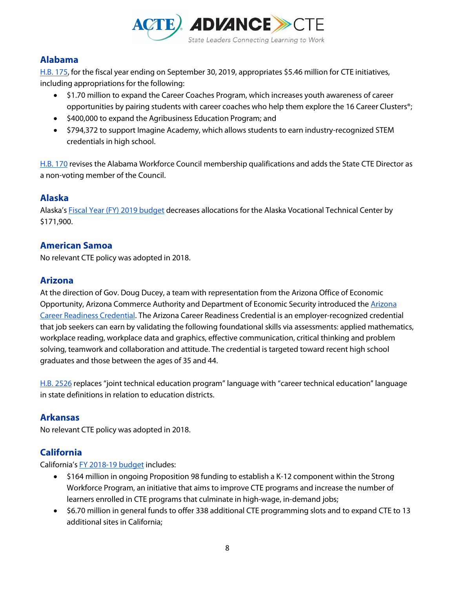

## **Alabama**

[H.B. 175,](https://s3.amazonaws.com/fn-document-service/file-by-sha384/7dd6db1cb207a2ae79ba40230ca8bdb935d9426a429330c43671e17bad371e353cd3ae89d5a6b950512e5b0140d172e5) for the fiscal year ending on September 30, 2019, appropriates \$5.46 million for CTE initiatives, including appropriations for the following:

- \$1.70 million to expand the Career Coaches Program, which increases youth awareness of career opportunities by pairing students with career coaches who help them explore the 16 Career Clusters®;
- \$400,000 to expand the Agribusiness Education Program; and
- \$794,372 to support Imagine Academy, which allows students to earn industry-recognized STEM credentials in high school.

[H.B. 170](http://alisondb.legislature.state.al.us/ALISON/SearchableInstruments/2018RS/PrintFiles/HB170-enr.pdf) revises the Alabama Workforce Council membership qualifications and adds the State CTE Director as a non-voting member of the Council.

## **Alaska**

Alaska'[s Fiscal Year \(FY\) 2019 budget](https://www.omb.alaska.gov/ombfiles/19_budget/PDFs/HB0286%20-%20FY2019%20%20Operating.pdf) decreases allocations for the Alaska Vocational Technical Center by \$171,900.

## **American Samoa**

No relevant CTE policy was adopted in 2018.

## **Arizona**

At the direction of Gov. Doug Ducey, a team with representation from the Arizona Office of Economic Opportunity, [Arizona](https://drive.google.com/file/d/18ZyI9OCR2Nuao4UuS80pmq94k-0Jkcop/view) Commerce Authority and Department of Economic Security introduced the Arizona [Career Readiness Credential.](https://drive.google.com/file/d/18ZyI9OCR2Nuao4UuS80pmq94k-0Jkcop/view) The Arizona Career Readiness Credential is an employer-recognized credential that job seekers can earn by validating the following foundational skills via assessments: applied mathematics, workplace reading, workplace data and graphics, effective communication, critical thinking and problem solving, teamwork and collaboration and attitude. The credential is targeted toward recent high school graduates and those between the ages of 35 and 44.

[H.B. 2526](https://apps.azleg.gov/BillStatus/BillOverview/70760) replaces "joint technical education program" language with "career technical education" language in state definitions in relation to education districts.

## **Arkansas**

No relevant CTE policy was adopted in 2018.

## **California**

California'[s FY 2018-19 budget](http://www.ebudget.ca.gov/2018-19/pdf/Enacted/BudgetSummary/FullBudgetSummary.pdf) includes:

- \$164 million in ongoing Proposition 98 funding to establish a K-12 component within the Strong Workforce Program, an initiative that aims to improve CTE programs and increase the number of learners enrolled in CTE programs that culminate in high-wage, in-demand jobs;
- \$6.70 million in general funds to offer 338 additional CTE programming slots and to expand CTE to 13 additional sites in California;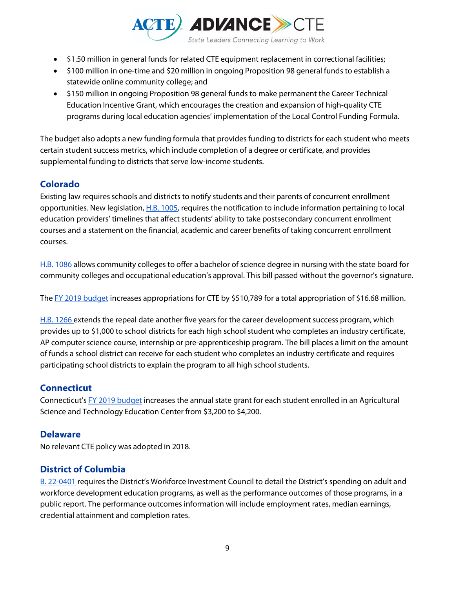

- \$1.50 million in general funds for related CTE equipment replacement in correctional facilities;
- \$100 million in one-time and \$20 million in ongoing Proposition 98 general funds to establish a statewide online community college; and
- \$150 million in ongoing Proposition 98 general funds to make permanent the Career Technical Education Incentive Grant, which encourages the creation and expansion of high-quality CTE programs during local education agencies' implementation of the Local Control Funding Formula.

The budget also adopts a new funding formula that provides funding to districts for each student who meets certain student success metrics, which include completion of a degree or certificate, and provides supplemental funding to districts that serve low-income students.

## **Colorado**

Existing law requires schools and districts to notify students and their parents of concurrent enrollment opportunities. New legislation[, H.B. 1005,](https://leg.colorado.gov/bills/hb18-1005) requires the notification to include information pertaining to local education providers' timelines that affect students' ability to take postsecondary concurrent enrollment courses and a statement on the financial, academic and career benefits of taking concurrent enrollment courses.

[H.B. 1086](https://leg.colorado.gov/bills/hb18-1086) allows community colleges to offer a bachelor of science degree in nursing with the state board for community colleges and occupational education's approval. This bill passed without the governor's signature.

Th[e FY 2019 budget](http://leg.colorado.gov/sites/default/files/fy18-19apprept_0.pdf) increases appropriations for CTE by \$510,789 for a total appropriation of \$16.68 million.

[H.B. 1266 e](http://leg.colorado.gov/bills/hb18-1266)xtends the repeal date another five years for the career development success program, which provides up to \$1,000 to school districts for each high school student who completes an industry certificate, AP computer science course, internship or pre-apprenticeship program. The bill places a limit on the amount of funds a school district can receive for each student who completes an industry certificate and requires participating school districts to explain the program to all high school students.

## **Connecticut**

Connecticut's [FY 2019 budget](https://www.cga.ct.gov/2018/ACT/pa/pdf/2018PA-00081-R00SB-00543-PA.pdf) increases the annual state grant for each student enrolled in an Agricultural Science and Technology Education Center from \$3,200 to \$4,200.

## **Delaware**

No relevant CTE policy was adopted in 2018.

## **District of Columbia**

[B. 22-0401](http://lims.dccouncil.us/Download/38583/B22-0401-Enrollment.pdf) requires the District's Workforce Investment Council to detail the District's spending on adult and workforce development education programs, as well as the performance outcomes of those programs, in a public report. The performance outcomes information will include employment rates, median earnings, credential attainment and completion rates.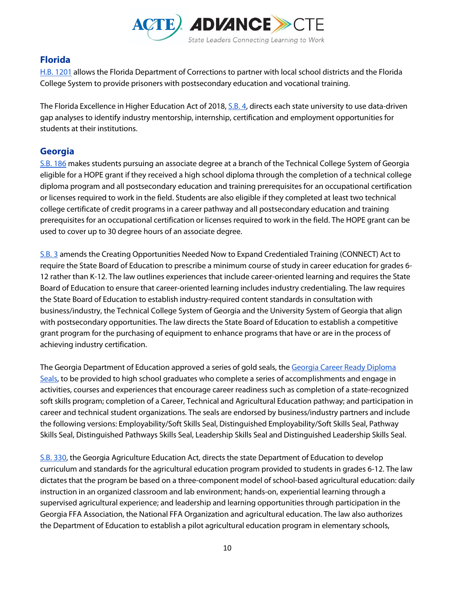

## **Florida**

[H.B. 1201](http://www.flsenate.gov/Session/Bill/2018/1201) allows the Florida Department of Corrections to partner with local school districts and the Florida College System to provide prisoners with postsecondary education and vocational training.

The Florida Excellence in Higher Education Act of 2018[, S.B. 4,](http://www.flsenate.gov/Session/Bill/2018/4) directs each state university to use data-driven gap analyses to identify industry mentorship, internship, certification and employment opportunities for students at their institutions.

## **Georgia**

[S.B. 186](http://www.legis.ga.gov/Legislation/en-US/display/20172018/SB/186) makes students pursuing an associate degree at a branch of the Technical College System of Georgia eligible for a HOPE grant if they received a high school diploma through the completion of a technical college diploma program and all postsecondary education and training prerequisites for an occupational certification or licenses required to work in the field. Students are also eligible if they completed at least two technical college certificate of credit programs in a career pathway and all postsecondary education and training prerequisites for an occupational certification or licenses required to work in the field. The HOPE grant can be used to cover up to 30 degree hours of an associate degree.

[S.B. 3](http://www.legis.ga.gov/Legislation/en-US/display/20172018/SB/3) amends the Creating Opportunities Needed Now to Expand Credentialed Training (CONNECT) Act to require the State Board of Education to prescribe a minimum course of study in career education for grades 6- 12 rather than K-12. The law outlines experiences that include career-oriented learning and requires the State Board of Education to ensure that career-oriented learning includes industry credentialing. The law requires the State Board of Education to establish industry-required content standards in consultation with business/industry, the Technical College System of Georgia and the University System of Georgia that align with postsecondary opportunities. The law directs the State Board of Education to establish a competitive grant program for the purchasing of equipment to enhance programs that have or are in the process of achieving industry certification.

The Georgia Department of Education approved a series of gold seals, th[e Georgia Career Ready Diploma](http://www.gadoe.org/External-Affairs-and-Policy/communications/Documents/Career%20Ready%20Diploma%20Brochure_for%20PRESS.pdf)  [Seals,](http://www.gadoe.org/External-Affairs-and-Policy/communications/Documents/Career%20Ready%20Diploma%20Brochure_for%20PRESS.pdf) to be provided to high school graduates who complete a series of accomplishments and engage in activities, courses and experiences that encourage career readiness such as completion of a state-recognized soft skills program; completion of a Career, Technical and Agricultural Education pathway; and participation in career and technical student organizations. The seals are endorsed by business/industry partners and include the following versions: Employability/Soft Skills Seal, Distinguished Employability/Soft Skills Seal, Pathway Skills Seal, Distinguished Pathways Skills Seal, Leadership Skills Seal and Distinguished Leadership Skills Seal.

[S.B. 330,](http://www.legis.ga.gov/Legislation/en-US/display/20172018/SB/330) the Georgia Agriculture Education Act, directs the state Department of Education to develop curriculum and standards for the agricultural education program provided to students in grades 6-12. The law dictates that the program be based on a three-component model of school-based agricultural education: daily instruction in an organized classroom and lab environment; hands-on, experiential learning through a supervised agricultural experience; and leadership and learning opportunities through participation in the Georgia FFA Association, the National FFA Organization and agricultural education. The law also authorizes the Department of Education to establish a pilot agricultural education program in elementary schools,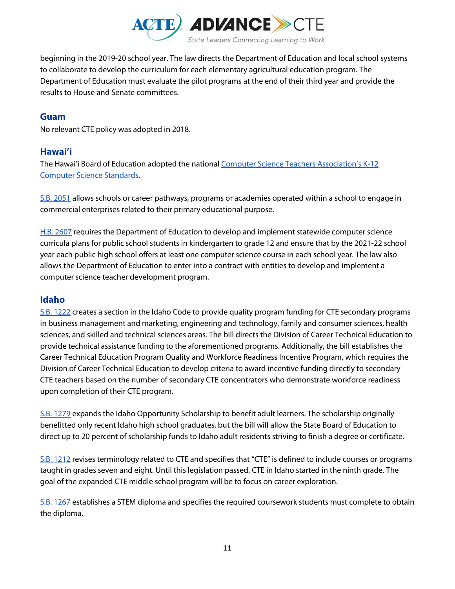

beginning in the 2019-20 school year. The law directs the Department of Education and local school systems to collaborate to develop the curriculum for each elementary agricultural education program. The Department of Education must evaluate the pilot programs at the end of their third year and provide the results to House and Senate committees.

## **Guam**

No relevant CTE policy was adopted in 2018.

## **Hawai'i**

The Hawai'i Board of Education adopted the nationa[l Computer Science Teachers Association's K-12](https://www.csteachers.org/page/standards)  [Computer Science Standards.](https://www.csteachers.org/page/standards)

[S.B. 2051](https://www.capitol.hawaii.gov/measure_indiv.aspx?billtype=SB&billnumber=2051&year=2018) allows schools or career pathways, programs or academies operated within a school to engage in commercial enterprises related to their primary educational purpose.

[H.B. 2607](https://www.capitol.hawaii.gov/measure_indiv.aspx?billtype=HB&billnumber=2607&year=2018) requires the Department of Education to develop and implement statewide computer science curricula plans for public school students in kindergarten to grade 12 and ensure that by the 2021-22 school year each public high school offers at least one computer science course in each school year. The law also allows the Department of Education to enter into a contract with entities to develop and implement a computer science teacher development program.

## **Idaho**

[S.B. 1222](https://legislature.idaho.gov/wp-content/uploads/sessioninfo/2018/legislation/S1222.pdf?utm_source=ExcelinEd&utm_campaign=8ad9d437cd-EMAIL_CAMPAIGN_2018_03_19&utm_medium=email&utm_term=0_0473a80b81-8ad9d437cd-209779997) creates a section in the Idaho Code to provide quality program funding for CTE secondary programs in business management and marketing, engineering and technology, family and consumer sciences, health sciences, and skilled and technical sciences areas. The bill directs the Division of Career Technical Education to provide technical assistance funding to the aforementioned programs. Additionally, the bill establishes the Career Technical Education Program Quality and Workforce Readiness Incentive Program, which requires the Division of Career Technical Education to develop criteria to award incentive funding directly to secondary CTE teachers based on the number of secondary CTE concentrators who demonstrate workforce readiness upon completion of their CTE program.

[S.B. 1279](https://legislature.idaho.gov/sessioninfo/2018/legislation/S1279/) expands the Idaho Opportunity Scholarship to benefit adult learners. The scholarship originally benefitted only recent Idaho high school graduates, but the bill will allow the State Board of Education to direct up to 20 percent of scholarship funds to Idaho adult residents striving to finish a degree or certificate.

[S.B. 1212](https://legislature.idaho.gov/sessioninfo/2018/legislation/S1212/) revises terminology related to CTE and specifies that "CTE" is defined to include courses or programs taught in grades seven and eight. Until this legislation passed, CTE in Idaho started in the ninth grade. The goal of the expanded CTE middle school program will be to focus on career exploration.

[S.B. 1267](https://legislature.idaho.gov/sessioninfo/2018/legislation/S1267/) establishes a STEM diploma and specifies the required coursework students must complete to obtain the diploma.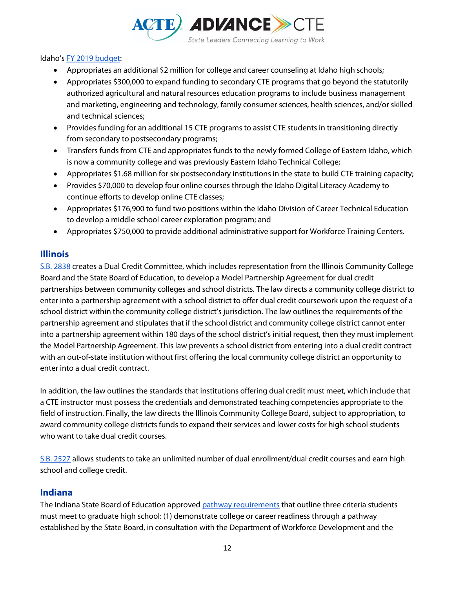

#### Idaho'[s FY 2019 budget:](https://dfm.idaho.gov/publications/bb/budgetactivities/ba2019/2018%20Activities%20Summary.pdf)

- Appropriates an additional \$2 million for college and career counseling at Idaho high schools;
- Appropriates \$300,000 to expand funding to secondary CTE programs that go beyond the statutorily authorized agricultural and natural resources education programs to include business management and marketing, engineering and technology, family consumer sciences, health sciences, and/or skilled and technical sciences;
- Provides funding for an additional 15 CTE programs to assist CTE students in transitioning directly from secondary to postsecondary programs;
- Transfers funds from CTE and appropriates funds to the newly formed College of Eastern Idaho, which is now a community college and was previously Eastern Idaho Technical College;
- Appropriates \$1.68 million for six postsecondary institutions in the state to build CTE training capacity;
- Provides \$70,000 to develop four online courses through the Idaho Digital Literacy Academy to continue efforts to develop online CTE classes;
- Appropriates \$176,900 to fund two positions within the Idaho Division of Career Technical Education to develop a middle school career exploration program; and
- Appropriates \$750,000 to provide additional administrative support for Workforce Training Centers.

#### **Illinois**

[S.B. 2838](http://www.ilga.gov/legislation/publicacts/fulltext.asp?Name=100-1049) creates a Dual Credit Committee, which includes representation from the Illinois Community College Board and the State Board of Education, to develop a Model Partnership Agreement for dual credit partnerships between community colleges and school districts. The law directs a community college district to enter into a partnership agreement with a school district to offer dual credit coursework upon the request of a school district within the community college district's jurisdiction. The law outlines the requirements of the partnership agreement and stipulates that if the school district and community college district cannot enter into a partnership agreement within 180 days of the school district's initial request, then they must implement the Model Partnership Agreement. This law prevents a school district from entering into a dual credit contract with an out-of-state institution without first offering the local community college district an opportunity to enter into a dual credit contract.

In addition, the law outlines the standards that institutions offering dual credit must meet, which include that a CTE instructor must possess the credentials and demonstrated teaching competencies appropriate to the field of instruction. Finally, the law directs the Illinois Community College Board, subject to appropriation, to award community college districts funds to expand their services and lower costs for high school students who want to take dual credit courses.

[S.B. 2527](http://www.ilga.gov/legislation/BillStatus.asp?DocNum=2527&GAID=14&DocTypeID=SB&SessionID=91&GA=100) allows students to take an unlimited number of dual enrollment/dual credit courses and earn high school and college credit.

## **Indiana**

The Indiana State Board of Education approved [pathway requirements](http://iga.in.gov/legislative/laws/2018/ic/titles/020/#20-32-4-1) that outline three criteria students must meet to graduate high school: (1) demonstrate college or career readiness through a pathway established by the State Board, in consultation with the Department of Workforce Development and the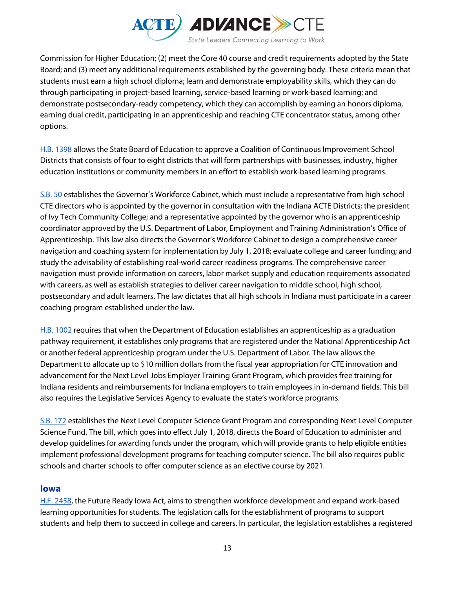

Commission for Higher Education; (2) meet the Core 40 course and credit requirements adopted by the State Board; and (3) meet any additional requirements established by the governing body. These criteria mean that students must earn a high school diploma; learn and demonstrate employability skills, which they can do through participating in project-based learning, service-based learning or work-based learning; and demonstrate postsecondary-ready competency, which they can accomplish by earning an honors diploma, earning dual credit, participating in an apprenticeship and reaching CTE concentrator status, among other options.

[H.B. 1398](https://iga.in.gov/legislative/2018/bills/house/1398) allows the State Board of Education to approve a Coalition of Continuous Improvement School Districts that consists of four to eight districts that will form partnerships with businesses, industry, higher education institutions or community members in an effort to establish work-based learning programs.

[S.B. 50](http://iga.in.gov/legislative/2018/bills/senate/50/#digest-heading) establishes the Governor's Workforce Cabinet, which must include a representative from high school CTE directors who is appointed by the governor in consultation with the Indiana ACTE Districts; the president of Ivy Tech Community College; and a representative appointed by the governor who is an apprenticeship coordinator approved by the U.S. Department of Labor, Employment and Training Administration's Office of Apprenticeship. This law also directs the Governor's Workforce Cabinet to design a comprehensive career navigation and coaching system for implementation by July 1, 2018; evaluate college and career funding; and study the advisability of establishing real-world career readiness programs. The comprehensive career navigation must provide information on careers, labor market supply and education requirements associated with careers, as well as establish strategies to deliver career navigation to middle school, high school, postsecondary and adult learners. The law dictates that all high schools in Indiana must participate in a career coaching program established under the law.

[H.B. 1002](http://iga.in.gov/legislative/2018/bills/house/1002/) requires that when the Department of Education establishes an apprenticeship as a graduation pathway requirement, it establishes only programs that are registered under the National Apprenticeship Act or another federal apprenticeship program under the U.S. Department of Labor. The law allows the Department to allocate up to \$10 million dollars from the fiscal year appropriation for CTE innovation and advancement for the Next Level Jobs Employer Training Grant Program, which provides free training for Indiana residents and reimbursements for Indiana employers to train employees in in-demand fields. This bill also requires the Legislative Services Agency to evaluate the state's workforce programs.

[S.B. 172](http://iga.in.gov/legislative/2018/bills/senate/172/) establishes the Next Level Computer Science Grant Program and corresponding Next Level Computer Science Fund. The bill, which goes into effect July 1, 2018, directs the Board of Education to administer and develop guidelines for awarding funds under the program, which will provide grants to help eligible entities implement professional development programs for teaching computer science. The bill also requires public schools and charter schools to offer computer science as an elective course by 2021.

#### **Iowa**

[H.F. 2458,](https://www.legis.iowa.gov/legislation/BillBook?ga=87&ba=HF2458) the Future Ready Iowa Act, aims to strengthen workforce development and expand work-based learning opportunities for students. The legislation calls for the establishment of programs to support students and help them to succeed in college and careers. In particular, the legislation establishes a registered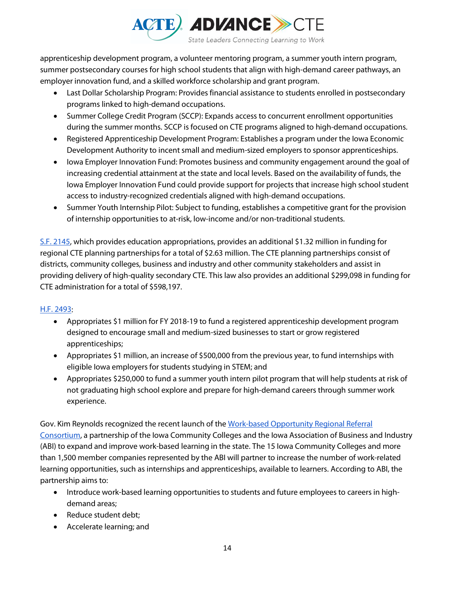

apprenticeship development program, a volunteer mentoring program, a summer youth intern program, summer postsecondary courses for high school students that align with high-demand career pathways, an employer innovation fund, and a skilled workforce scholarship and grant program.

- Last Dollar Scholarship Program: Provides financial assistance to students enrolled in postsecondary programs linked to high-demand occupations.
- Summer College Credit Program (SCCP): Expands access to concurrent enrollment opportunities during the summer months. SCCP is focused on CTE programs aligned to high-demand occupations.
- Registered Apprenticeship Development Program: Establishes a program under the Iowa Economic Development Authority to incent small and medium-sized employers to sponsor apprenticeships.
- Iowa Employer Innovation Fund: Promotes business and community engagement around the goal of increasing credential attainment at the state and local levels. Based on the availability of funds, the Iowa Employer Innovation Fund could provide support for projects that increase high school student access to industry-recognized credentials aligned with high-demand occupations.
- Summer Youth Internship Pilot: Subject to funding, establishes a competitive grant for the provision of internship opportunities to at-risk, low-income and/or non-traditional students.

[S.F. 2145,](https://www.legis.iowa.gov/legislation/BillBook?ga=87&ba=SF2415) which provides education appropriations, provides an additional \$1.32 million in funding for regional CTE planning partnerships for a total of \$2.63 million. The CTE planning partnerships consist of districts, community colleges, business and industry and other community stakeholders and assist in providing delivery of high-quality secondary CTE. This law also provides an additional \$299,098 in funding for CTE administration for a total of \$598,197.

#### [H.F. 2493:](https://www.legis.iowa.gov/legislation/BillBook?ga=87&ba=HF2493)

- Appropriates \$1 million for FY 2018-19 to fund a registered apprenticeship development program designed to encourage small and medium-sized businesses to start or grow registered apprenticeships;
- Appropriates \$1 million, an increase of \$500,000 from the previous year, to fund internships with eligible Iowa employers for students studying in STEM; and
- Appropriates \$250,000 to fund a summer youth intern pilot program that will help students at risk of not graduating high school explore and prepare for high-demand careers through summer work experience.

Gov. Kim Reynolds recognized the recent launch of the [Work-based Opportunity Regional Referral](https://www.iowaabi.org/news/business-record-iowa/story/reinforcing-a-strong-pipeline-for-iowa-s-future/)  [Consortium,](https://www.iowaabi.org/news/business-record-iowa/story/reinforcing-a-strong-pipeline-for-iowa-s-future/) a partnership of the Iowa Community Colleges and the Iowa Association of Business and Industry (ABI) to expand and improve work-based learning in the state. The 15 Iowa Community Colleges and more than 1,500 member companies represented by the ABI will partner to increase the number of work-related learning opportunities, such as internships and apprenticeships, available to learners. According to ABI, the partnership aims to:

- Introduce work-based learning opportunities to students and future employees to careers in highdemand areas;
- Reduce student debt;
- Accelerate learning; and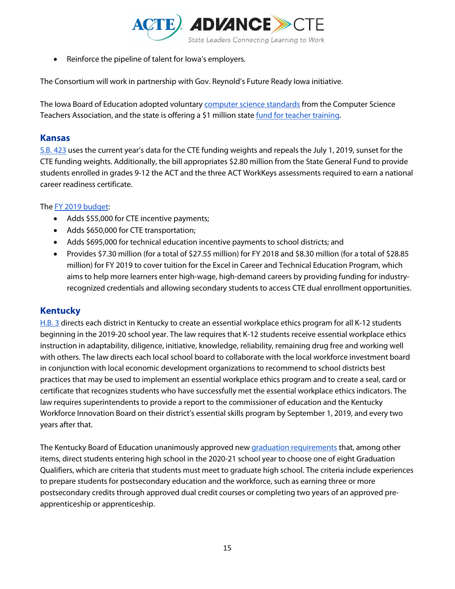

• Reinforce the pipeline of talent for Iowa's employers.

The Consortium will work in partnership with Gov. Reynold's Future Ready Iowa initiative.

The Iowa Board of Education adopted voluntary **computer science standards** from the Computer Science Teachers Association, and the state is offering a \$1 million stat[e fund for teacher training.](https://educateiowa.gov/pk-12/instruction/computer-science-expansion/computer-science-professional-development-incentive)

## **Kansas**

[S.B. 423](http://kslegislature.org/li/b2017_18/measures/sb423/) uses the current year's data for the CTE funding weights and repeals the July 1, 2019, sunset for the CTE funding weights. Additionally, the bill appropriates \$2.80 million from the State General Fund to provide students enrolled in grades 9-12 the ACT and the three ACT WorkKeys assessments required to earn a national career readiness certificate.

#### Th[e FY 2019](https://budget.kansas.gov/wp-content/uploads/FY2019_Comparison-_Report.pdf) [budget:](https://budget.kansas.gov/wp-content/uploads/FY2019_Comparison-_Report.pdf)

- Adds \$55,000 for CTE incentive payments;
- Adds \$650,000 for CTE transportation;
- Adds \$695,000 for technical education incentive payments to school districts; and
- Provides \$7.30 million (for a total of \$27.55 million) for FY 2018 and \$8.30 million (for a total of \$28.85 million) for FY 2019 to cover tuition for the Excel in Career and Technical Education Program, which aims to help more learners enter high-wage, high-demand careers by providing funding for industryrecognized credentials and allowing secondary students to access CTE dual enrollment opportunities.

## **Kentucky**

[H.B. 3](http://www.lrc.ky.gov/record/18RS/HB3.htm) directs each district in Kentucky to create an essential workplace ethics program for all K-12 students beginning in the 2019-20 school year. The law requires that K-12 students receive essential workplace ethics instruction in adaptability, diligence, initiative, knowledge, reliability, remaining drug free and working well with others. The law directs each local school board to collaborate with the local workforce investment board in conjunction with local economic development organizations to recommend to school districts best practices that may be used to implement an essential workplace ethics program and to create a seal, card or certificate that recognizes students who have successfully met the essential workplace ethics indicators. The law requires superintendents to provide a report to the commissioner of education and the Kentucky Workforce Innovation Board on their district's essential skills program by September 1, 2019, and every two years after that.

The Kentucky Board of Education unanimously approved ne[w graduation requirements](https://portal.ksba.org/public/Meeting/Attachments/DisplayAttachment.aspx?AttachmentID=456356) that, among other items, direct students entering high school in the 2020-21 school year to choose one of eight Graduation Qualifiers, which are criteria that students must meet to graduate high school. The criteria include experiences to prepare students for postsecondary education and the workforce, such as earning three or more postsecondary credits through approved dual credit courses or completing two years of an approved preapprenticeship or apprenticeship.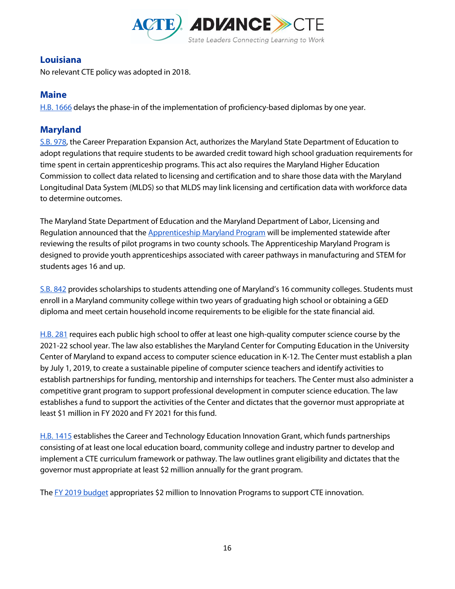

## **Louisiana**

No relevant CTE policy was adopted in 2018.

## **Maine**

[H.B. 1666](http://legislature.maine.gov/legis/bills/display_ps.asp?LD=1666&snum=128) delays the phase-in of the implementation of proficiency-based diplomas by one year.

## **Maryland**

[S.B. 978,](http://mgaleg.maryland.gov/2018RS/bills/sb/sb0978e.pdf) the Career Preparation Expansion Act, authorizes the Maryland State Department of Education to adopt regulations that require students to be awarded credit toward high school graduation requirements for time spent in certain apprenticeship programs. This act also requires the Maryland Higher Education Commission to collect data related to licensing and certification and to share those data with the Maryland Longitudinal Data System (MLDS) so that MLDS may link licensing and certification data with workforce data to determine outcomes.

The Maryland State Department of Education and the Maryland Department of Labor, Licensing and Regulation announced that the **Apprenticeship Maryland Program** will be implemented statewide after reviewing the results of pilot programs in two county schools. The Apprenticeship Maryland Program is designed to provide youth apprenticeships associated with career pathways in manufacturing and STEM for students ages 16 and up.

[S.B. 842](http://mgaleg.maryland.gov/webmga/frmMain.aspx?id=SB0842&stab=01&pid=billpage&tab=subject3&ys=2018RS) provides scholarships to students attending one of Maryland's 16 community colleges. Students must enroll in a Maryland community college within two years of graduating high school or obtaining a GED diploma and meet certain household income requirements to be eligible for the state financial aid.

[H.B. 281](http://mgaleg.maryland.gov/webmga/frmMain.aspx?id=hb0281&stab=01&pid=billpage&tab=subject3&ys=2018rs) requires each public high school to offer at least one high-quality computer science course by the 2021-22 school year. The law also establishes the Maryland Center for Computing Education in the University Center of Maryland to expand access to computer science education in K-12. The Center must establish a plan by July 1, 2019, to create a sustainable pipeline of computer science teachers and identify activities to establish partnerships for funding, mentorship and internships for teachers. The Center must also administer a competitive grant program to support professional development in computer science education. The law establishes a fund to support the activities of the Center and dictates that the governor must appropriate at least \$1 million in FY 2020 and FY 2021 for this fund.

[H.B. 1415](http://mgaleg.maryland.gov/webmga/frmMain.aspx?id=hb1415&stab=01&pid=billpage&tab=subject3&ys=2018rs) establishes the Career and Technology Education Innovation Grant, which funds partnerships consisting of at least one local education board, community college and industry partner to develop and implement a CTE curriculum framework or pathway. The law outlines grant eligibility and dictates that the governor must appropriate at least \$2 million annually for the grant program.

Th[e FY 2019 budget](http://mgaleg.maryland.gov/2018RS/bills/sb/sb0185E.pdf) appropriates \$2 million to Innovation Programs to support CTE innovation.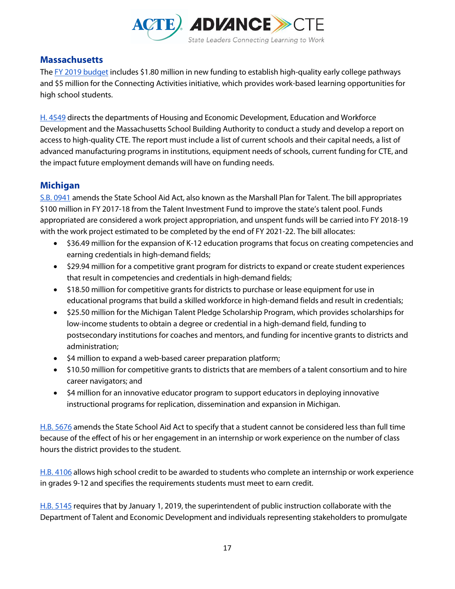

## **Massachusetts**

Th[e FY 2019 budget](http://budget.digital.mass.gov/bb/gaa/fy2019/app_19/ga_19/hdefault.htm) includes \$1.80 million in new funding to establish high-quality early college pathways and \$5 million for the Connecting Activities initiative, which provides work-based learning opportunities for high school students.

[H. 4549](https://malegislature.gov/Bills/190/H4549) directs the departments of Housing and Economic Development, Education and Workforce Development and the Massachusetts School Building Authority to conduct a study and develop a report on access to high-quality CTE. The report must include a list of current schools and their capital needs, a list of advanced manufacturing programs in institutions, equipment needs of schools, current funding for CTE, and the impact future employment demands will have on funding needs.

## **Michigan**

[S.B. 0941](http://www.legislature.mi.gov/(S(loiqddupyvwu45ziudxydp1m))/mileg.aspx?page=GetObject&objectname=2018-SB-0941) amends the State School Aid Act, also known as the Marshall Plan for Talent. The bill appropriates \$100 million in FY 2017-18 from the Talent Investment Fund to improve the state's talent pool. Funds appropriated are considered a work project appropriation, and unspent funds will be carried into FY 2018-19 with the work project estimated to be completed by the end of FY 2021-22. The bill allocates:

- \$36.49 million for the expansion of K-12 education programs that focus on creating competencies and earning credentials in high-demand fields;
- \$29.94 million for a competitive grant program for districts to expand or create student experiences that result in competencies and credentials in high-demand fields;
- \$18.50 million for competitive grants for districts to purchase or lease equipment for use in educational programs that build a skilled workforce in high-demand fields and result in credentials;
- \$25.50 million for the Michigan Talent Pledge Scholarship Program, which provides scholarships for low-income students to obtain a degree or credential in a high-demand field, funding to postsecondary institutions for coaches and mentors, and funding for incentive grants to districts and administration;
- \$4 million to expand a web-based career preparation platform;
- \$10.50 million for competitive grants to districts that are members of a talent consortium and to hire career navigators; and
- \$4 million for an innovative educator program to support educators in deploying innovative instructional programs for replication, dissemination and expansion in Michigan.

[H.B. 5676](http://www.legislature.mi.gov/(S(kjr4cjy1lxdgz4q415sv0bk0))/mileg.aspx?page=BillStatus&objectname=2018-HB-5676) amends the State School Aid Act to specify that a student cannot be considered less than full time because of the effect of his or her engagement in an internship or work experience on the number of class hours the district provides to the student.

[H.B. 4106](https://www.legislature.mi.gov/(S(r3okffx0qwlg4qnns3fo3onf))/mileg.aspx?page=getobject&objectName=2017-hb-4106) allows high school credit to be awarded to students who complete an internship or work experience in grades 9-12 and specifies the requirements students must meet to earn credit.

[H.B. 5145](http://www.legislature.mi.gov/(S(lu1fyrryqfyaye13pp4ldr1h))/mileg.aspx?page=GetObject&objectName=2017-HB-5145) requires that by January 1, 2019, the superintendent of public instruction collaborate with the Department of Talent and Economic Development and individuals representing stakeholders to promulgate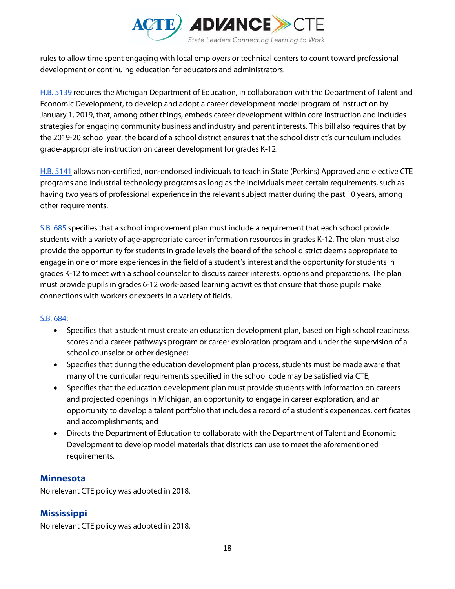

rules to allow time spent engaging with local employers or technical centers to count toward professional development or continuing education for educators and administrators.

[H.B. 5139](https://www.legislature.mi.gov/(S(rqsawrmawt0ftze1fbcig0qa))/mileg.aspx?page=GetObject&objectName=2017-HB-5139) requires the Michigan Department of Education, in collaboration with the Department of Talent and Economic Development, to develop and adopt a career development model program of instruction by January 1, 2019, that, among other things, embeds career development within core instruction and includes strategies for engaging community business and industry and parent interests. This bill also requires that by the 2019-20 school year, the board of a school district ensures that the school district's curriculum includes grade-appropriate instruction on career development for grades K-12.

[H.B. 5141](http://www.legislature.mi.gov/(S(gorskbpkztrcth1jx5ucy1rj))/mileg.aspx?page=GetObject&objectname=2017-HB-5141) allows non-certified, non-endorsed individuals to teach in State (Perkins) Approved and elective CTE programs and industrial technology programs as long as the individuals meet certain requirements, such as having two years of professional experience in the relevant subject matter during the past 10 years, among other requirements.

[S.B. 685 s](http://www.legislature.mi.gov/(S(ux0praatu0ltyhh0cfkkygyg))/mileg.aspx?page=GetObject&objectname=2017-SB-0685)pecifies that a school improvement plan must include a requirement that each school provide students with a variety of age-appropriate career information resources in grades K-12. The plan must also provide the opportunity for students in grade levels the board of the school district deems appropriate to engage in one or more experiences in the field of a student's interest and the opportunity for students in grades K-12 to meet with a school counselor to discuss career interests, options and preparations. The plan must provide pupils in grades 6-12 work-based learning activities that ensure that those pupils make connections with workers or experts in a variety of fields.

#### [S.B. 684:](http://legislature.mi.gov/doc.aspx?2017-SB-0684)

- Specifies that a student must create an education development plan, based on high school readiness scores and a career pathways program or career exploration program and under the supervision of a school counselor or other designee;
- Specifies that during the education development plan process, students must be made aware that many of the curricular requirements specified in the school code may be satisfied via CTE;
- Specifies that the education development plan must provide students with information on careers and projected openings in Michigan, an opportunity to engage in career exploration, and an opportunity to develop a talent portfolio that includes a record of a student's experiences, certificates and accomplishments; and
- Directs the Department of Education to collaborate with the Department of Talent and Economic Development to develop model materials that districts can use to meet the aforementioned requirements.

#### **Minnesota**

No relevant CTE policy was adopted in 2018.

## **Mississippi**

No relevant CTE policy was adopted in 2018.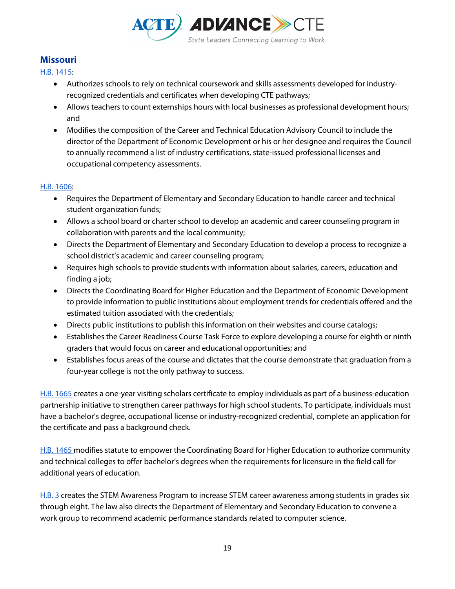

## **Missouri**

[H.B. 1415:](https://house.mo.gov/Bill.aspx?bill=HB1415&year=2018&code=R)

- Authorizes schools to rely on technical coursework and skills assessments developed for industryrecognized credentials and certificates when developing CTE pathways;
- Allows teachers to count externships hours with local businesses as professional development hours; and
- Modifies the composition of the Career and Technical Education Advisory Council to include the director of the Department of Economic Development or his or her designee and requires the Council to annually recommend a list of industry certifications, state-issued professional licenses and occupational competency assessments.

#### [H.B. 1606:](https://house.mo.gov/Bill.aspx?bill=HB1606&year=2018&code=R)

- Requires the Department of Elementary and Secondary Education to handle career and technical student organization funds;
- Allows a school board or charter school to develop an academic and career counseling program in collaboration with parents and the local community;
- Directs the Department of Elementary and Secondary Education to develop a process to recognize a school district's academic and career counseling program;
- Requires high schools to provide students with information about salaries, careers, education and finding a job;
- Directs the Coordinating Board for Higher Education and the Department of Economic Development to provide information to public institutions about employment trends for credentials offered and the estimated tuition associated with the credentials;
- Directs public institutions to publish this information on their websites and course catalogs;
- Establishes the Career Readiness Course Task Force to explore developing a course for eighth or ninth graders that would focus on career and educational opportunities; and
- Establishes focus areas of the course and dictates that the course demonstrate that graduation from a four-year college is not the only pathway to success.

[H.B. 1665](http://www.house.mo.gov/Bill.aspx?bill=HB1665&year=2018&code=R) creates a one-year visiting scholars certificate to employ individuals as part of a business-education partnership initiative to strengthen career pathways for high school students. To participate, individuals must have a bachelor's degree, occupational license or industry-recognized credential, complete an application for the certificate and pass a background check.

[H.B. 1465 m](http://www.house.mo.gov/Bill.aspx?bill=HB1465&year=2018&code=R)odifies statute to empower the Coordinating Board for Higher Education to authorize community and technical colleges to offer bachelor's degrees when the requirements for licensure in the field call for additional years of education.

[H.B. 3](https://www.house.mo.gov/billtracking/bills184/hlrbillspdf/6879H.01I.pdf) creates the STEM Awareness Program to increase STEM career awareness among students in grades six through eight. The law also directs the Department of Elementary and Secondary Education to convene a work group to recommend academic performance standards related to computer science.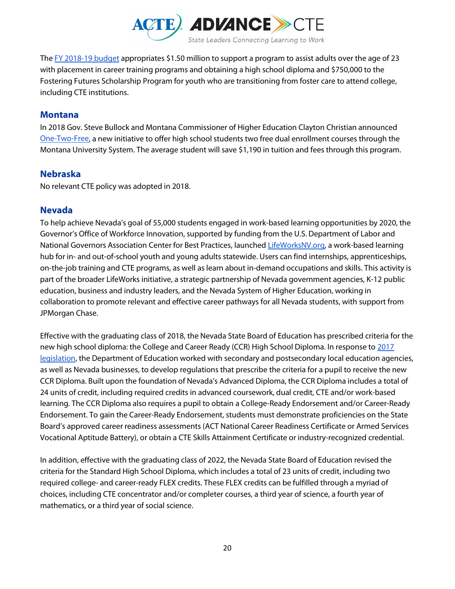

Th[e FY 2018-19 budget](http://www.house.mi.gov/hfa/PDF/Summaries/18s848h1cr1_General_Omnibus_Conference_Report_Summary.pdf) appropriates \$1.50 million to support a program to assist adults over the age of 23 with placement in career training programs and obtaining a high school diploma and \$750,000 to the Fostering Futures Scholarship Program for youth who are transitioning from foster care to attend college, including CTE institutions.

#### **Montana**

In 2018 Gov. Steve Bullock and Montana Commissioner of Higher Education Clayton Christian announced [One-Two-Free,](http://www.montana.edu/news/17939/governor-and-commissioner-of-higher-education-announce-college-access-program) a new initiative to offer high school students two free dual enrollment courses through the Montana University System. The average student will save \$1,190 in tuition and fees through this program.

#### **Nebraska**

No relevant CTE policy was adopted in 2018.

#### **Nevada**

To help achieve Nevada's goal of 55,000 students engaged in work-based learning opportunities by 2020, the Governor's Office of Workforce Innovation, supported by funding from the U.S. Department of Labor and National Governors Association Center for Best Practices, launche[d LifeWorksNV.org,](https://www.lifeworksnv.org/) a work-based learning hub for in- and out-of-school youth and young adults statewide. Users can find internships, apprenticeships, on-the-job training and CTE programs, as well as learn about in-demand occupations and skills. This activity is part of the broader LifeWorks initiative, a strategic partnership of Nevada government agencies, K-12 public education, business and industry leaders, and the Nevada System of Higher Education, working in collaboration to promote relevant and effective career pathways for all Nevada students, with support from JPMorgan Chase.

Effective with the graduating class of 2018, the Nevada State Board of Education has prescribed criteria for the new high school diploma: the College and Career Ready (CCR) High School Diploma. In response to [2017](https://www.leg.state.nv.us/Session/79th2017/Bills/AB/AB7_EN.pdf)  [legislation,](https://www.leg.state.nv.us/Session/79th2017/Bills/AB/AB7_EN.pdf) the Department of Education worked with secondary and postsecondary local education agencies, as well as Nevada businesses, to develop regulations that prescribe the criteria for a pupil to receive the new CCR Diploma. Built upon the foundation of Nevada's Advanced Diploma, the CCR Diploma includes a total of 24 units of credit, including required credits in advanced coursework, dual credit, CTE and/or work-based learning. The CCR Diploma also requires a pupil to obtain a College-Ready Endorsement and/or Career-Ready Endorsement. To gain the Career-Ready Endorsement, students must demonstrate proficiencies on the State Board's approved career readiness assessments (ACT National Career Readiness Certificate or Armed Services Vocational Aptitude Battery), or obtain a CTE Skills Attainment Certificate or industry-recognized credential.

In addition, effective with the graduating class of 2022, the Nevada State Board of Education revised the criteria for the Standard High School Diploma, which includes a total of 23 units of credit, including two required college- and career-ready FLEX credits. These FLEX credits can be fulfilled through a myriad of choices, including CTE concentrator and/or completer courses, a third year of science, a fourth year of mathematics, or a third year of social science.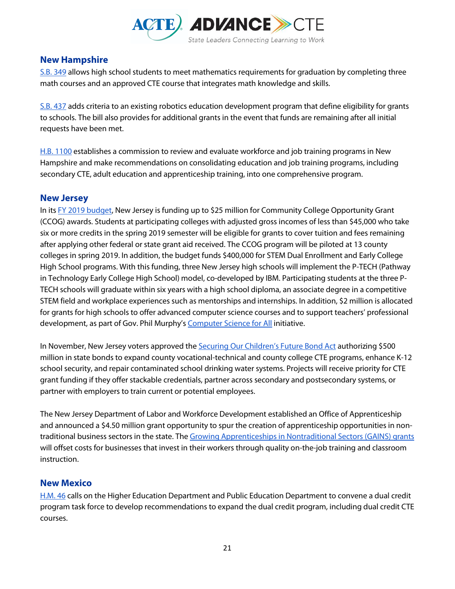

## **New Hampshire**

[S.B. 349](http://gencourt.state.nh.us/bill_status/billText.aspx?sy=2018&id=1745&txtFormat=pdf&v=current) allows high school students to meet mathematics requirements for graduation by completing three math courses and an approved CTE course that integrates math knowledge and skills.

[S.B. 437](http://gencourt.state.nh.us/bill_status/billText.aspx?sy=2018&id=1926&txtFormat=pdf&v=current) adds criteria to an existing robotics education development program that define eligibility for grants to schools. The bill also provides for additional grants in the event that funds are remaining after all initial requests have been met.

[H.B. 1100](http://gencourt.state.nh.us/bill_status/billText.aspx?sy=2018&id=1016&txtFormat=pdf&v=current) establishes a commission to review and evaluate workforce and job training programs in New Hampshire and make recommendations on consolidating education and job training programs, including secondary CTE, adult education and apprenticeship training, into one comprehensive program.

#### **New Jersey**

In it[s](https://www.njleg.state.nj.us/2018/Bills/AL18/53_.PDF) [FY 2019 budget,](https://www.njleg.state.nj.us/2018/Bills/AL18/53_.PDF) New Jersey is funding up to \$25 million for Community College Opportunity Grant (CCOG) awards. Students at participating colleges with adjusted gross incomes of less than \$45,000 who take six or more credits in the spring 2019 semester will be eligible for grants to cover tuition and fees remaining after applying other federal or state grant aid received. The CCOG program will be piloted at 13 county colleges in spring 2019. In addition, the budget funds \$400,000 for STEM Dual Enrollment and Early College High School programs. With this funding, three New Jersey high schools will implement the P-TECH (Pathway in Technology Early College High School) model, co-developed by IBM. Participating students at the three P-TECH schools will graduate within six years with a high school diploma, an associate degree in a competitive STEM field and workplace experiences such as mentorships and internships. In addition, \$2 million is allocated for grants for high schools to offer advanced computer science courses and to support teachers' professional development, as part of Gov. Phil Murphy'[s](https://nj.gov/governor/news/news/562018/approved/20181003a.shtml) [Computer Science for All](https://nj.gov/governor/news/news/562018/approved/20181003a.shtml) initiative.

In November, New Jersey voters approved the [Securing Our Children's Future Bond Act](https://www.njleg.state.nj.us/2018/Bills/PL18/119_.PDF) authorizing \$500 million in state bonds to expand county vocational-technical and county college CTE programs, enhance K-12 school security, and repair contaminated school drinking water systems. Projects will receive priority for CTE grant funding if they offer stackable credentials, partner across secondary and postsecondary systems, or partner with employers to train current or potential employees.

The New Jersey Department of Labor and Workforce Development established an Office of Apprenticeship and announced a \$4.50 million grant opportunity to spur the creation of apprenticeship opportunities in nontraditional business sectors in the state. Th[e Growing Apprenticeships in Nontraditional Sectors \(GAINS\) grants](https://www.state.nj.us/governor/news/news/562018/approved/20181024a.shtml) will offset costs for businesses that invest in their workers through quality on-the-job training and classroom instruction.

#### **New Mexico**

[H.M. 46](https://www.nmlegis.gov/(X(1)S(xu2gitlhppwvlutnvqf5s01d))/Sessions/18%20Regular/final/HM046.pdf) calls on the Higher Education Department and Public Education Department to convene a dual credit program task force to develop recommendations to expand the dual credit program, including dual credit CTE courses.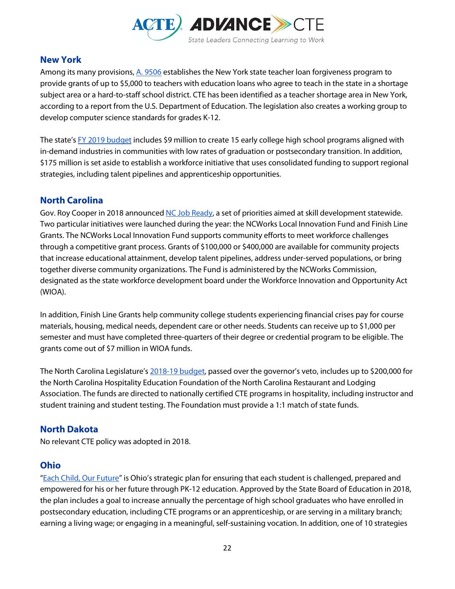

## **New York**

Among its many provisions, [A. 9506](https://nyassembly.gov/leg/?default_fld=&bn=A09506&term=2017&Summary=Y&Actions=Y&Text=Y&Committee%2526nbspVotes=Y&Floor%2526nbspVotes=Y) establishes the New York state teacher loan forgiveness program to provide grants of up to \$5,000 to teachers with education loans who agree to teach in the state in a shortage subject area or a hard-to-staff school district. CTE has been identified as a teacher shortage area in New York, according to a report from the U.S. Department of Education. The legislation also creates a working group to develop computer science standards for grades K-12.

The state's [FY 2019 budget](https://www.budget.ny.gov/pubs/press/2018/pr-enactfy19.html) includes \$9 million to create 15 early college high school programs aligned with in-demand industries in communities with low rates of graduation or postsecondary transition. In addition, \$175 million is set aside to establish a workforce initiative that uses consolidated funding to support regional strategies, including talent pipelines and apprenticeship opportunities.

## **North Carolina**

Gov. Roy Cooper in 2018 announced [NC Job Ready,](https://governor.nc.gov/news/governor-cooper-announces-nc-job-ready-key-priorities-workforce-development) a set of priorities aimed at skill development statewide. Two particular initiatives were launched during the year: the NCWorks Local Innovation Fund and Finish Line Grants. The NCWorks Local Innovation Fund supports community efforts to meet workforce challenges through a competitive grant process. Grants of \$100,000 or \$400,000 are available for community projects that increase educational attainment, develop talent pipelines, address under-served populations, or bring together diverse community organizations. The Fund is administered by the NCWorks Commission, designated as the state workforce development board under the Workforce Innovation and Opportunity Act (WIOA).

In addition, Finish Line Grants help community college students experiencing financial crises pay for course materials, housing, medical needs, dependent care or other needs. Students can receive up to \$1,000 per semester and must have completed three-quarters of their degree or credential program to be eligible. The grants come out of \$7 million in WIOA funds.

The North Carolina Legislature's [2018-19 budget,](https://www.ncleg.gov/Sessions/2017/Bills/Senate/PDF/S99v6.pdf) passed over the governor's veto, includes up to \$200,000 for the North Carolina Hospitality Education Foundation of the North Carolina Restaurant and Lodging Association. The funds are directed to nationally certified CTE programs in hospitality, including instructor and student training and student testing. The Foundation must provide a 1:1 match of state funds.

## **North Dakota**

No relevant CTE policy was adopted in 2018.

## **Ohio**

["Each Child, Our Future"](http://education.ohio.gov/About/Ohios-Strategic-Plan-for-Education) is Ohio's strategic plan for ensuring that each student is challenged, prepared and empowered for his or her future through PK-12 education. Approved by the State Board of Education in 2018, the plan includes a goal to increase annually the percentage of high school graduates who have enrolled in postsecondary education, including CTE programs or an apprenticeship, or are serving in a military branch; earning a living wage; or engaging in a meaningful, self-sustaining vocation. In addition, one of 10 strategies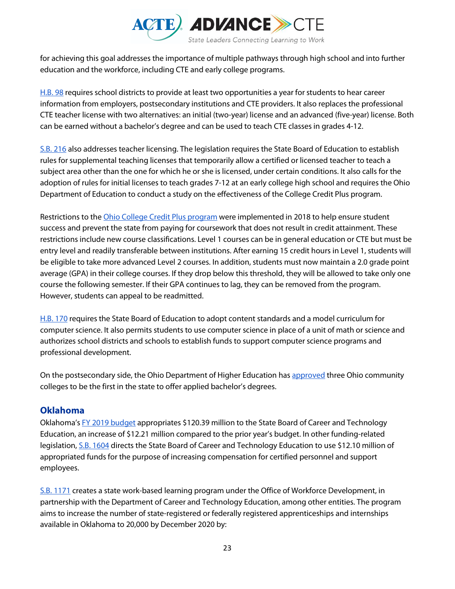

for achieving this goal addresses the importance of multiple pathways through high school and into further education and the workforce, including CTE and early college programs.

[H.B. 98](https://www.legislature.ohio.gov/legislation/legislation-documents?id=GA132-HB-98) requires school districts to provide at least two opportunities a year for students to hear career information from employers, postsecondary institutions and CTE providers. It also replaces the professional CTE teacher license with two alternatives: an initial (two-year) license and an advanced (five-year) license. Both can be earned without a bachelor's degree and can be used to teach CTE classes in grades 4-12.

[S.B. 216](https://www.legislature.ohio.gov/legislation/legislation-status?id=GA132-SB-216) also addresses teacher licensing. The legislation requires the State Board of Education to establish rules for supplemental teaching licenses that temporarily allow a certified or licensed teacher to teach a subject area other than the one for which he or she is licensed, under certain conditions. It also calls for the adoption of rules for initial licenses to teach grades 7-12 at an early college high school and requires the Ohio Department of Education to conduct a study on the effectiveness of the College Credit Plus program.

Restrictions to the *Ohio College Credit Plus program* were implemented in 2018 to help ensure student success and prevent the state from paying for coursework that does not result in credit attainment. These restrictions include new course classifications. Level 1 courses can be in general education or CTE but must be entry level and readily transferable between institutions. After earning 15 credit hours in Level 1, students will be eligible to take more advanced Level 2 courses. In addition, students must now maintain a 2.0 grade point average (GPA) in their college courses. If they drop below this threshold, they will be allowed to take only one course the following semester. If their GPA continues to lag, they can be removed from the program. However, students can appeal to be readmitted.

[H.B. 170](https://www.legislature.ohio.gov/legislation/legislation-summary?id=GA132-HB-170) requires the State Board of Education to adopt content standards and a model curriculum for computer science. It also permits students to use computer science in place of a unit of math or science and authorizes school districts and schools to establish funds to support computer science programs and professional development.

On the postsecondary side, the Ohio Department of Higher Education has [approved](https://www.ohiohighered.org/academic-program-approval/applied-bachelors-degrees) three Ohio community colleges to be the first in the state to offer applied bachelor's degrees.

## **Oklahoma**

Oklahoma'[s FY 2019 budget](http://webserver1.lsb.state.ok.us/cf_pdf/2017-18%20ENR/SB/SB1600%20ENR.PDF) appropriates \$120.39 million to the State Board of Career and Technology Education, an increase of \$12.21 million compared to the prior year's budget. In other funding-related legislation, [S.B. 1604](http://webserver1.lsb.state.ok.us/cf_pdf/2017-18%20ENR/SB/SB1604%20ENR.PDF) directs the State Board of Career and Technology Education to use \$12.10 million of appropriated funds for the purpose of increasing compensation for certified personnel and support employees.

[S.B. 1171](http://webserver1.lsb.state.ok.us/cf_pdf/2017-18%20ENR/SB/SB1171%20ENR.PDF) creates a state work-based learning program under the Office of Workforce Development, in partnership with the Department of Career and Technology Education, among other entities. The program aims to increase the number of state-registered or federally registered apprenticeships and internships available in Oklahoma to 20,000 by December 2020 by: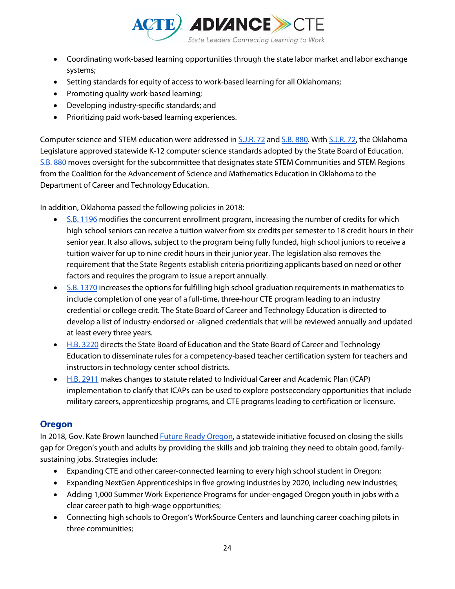

- Coordinating work-based learning opportunities through the state labor market and labor exchange systems;
- Setting standards for equity of access to work-based learning for all Oklahomans;
- Promoting quality work-based learning;
- Developing industry-specific standards; and
- Prioritizing paid work-based learning experiences.

Computer science and STEM education were addressed in [S.J.R. 72](http://webserver1.lsb.state.ok.us/cf_pdf/2017-18%20ENR/SRES/SJR72%20ENR.PDF) and [S.B. 880.](http://webserver1.lsb.state.ok.us/cf_pdf/2017-18%20ENR/SB/SB880%20ENR.PDF) With [S.J.R. 72,](http://webserver1.lsb.state.ok.us/cf_pdf/2017-18%20ENR/SRES/SJR72%20ENR.PDF) the Oklahoma Legislature approved statewide K-12 computer science standards adopted by the State Board of Education. [S.B. 880](http://webserver1.lsb.state.ok.us/cf_pdf/2017-18%20ENR/SB/SB880%20ENR.PDF) moves oversight for the subcommittee that designates state STEM Communities and STEM Regions from the Coalition for the Advancement of Science and Mathematics Education in Oklahoma to the Department of Career and Technology Education.

In addition, Oklahoma passed the following policies in 2018:

- [S.B. 1196](http://webserver1.lsb.state.ok.us/cf_pdf/2017-18%20ENR/SB/SB1196%20ENR.PDF) modifies the concurrent enrollment program, increasing the number of credits for which high school seniors can receive a tuition waiver from six credits per semester to 18 credit hours in their senior year. It also allows, subject to the program being fully funded, high school juniors to receive a tuition waiver for up to nine credit hours in their junior year. The legislation also removes the requirement that the State Regents establish criteria prioritizing applicants based on need or other factors and requires the program to issue a report annually.
- [S.B. 1370](http://webserver1.lsb.state.ok.us/cf_pdf/2017-18%20ENR/SB/SB1370%20ENR.PDF) increases the options for fulfilling high school graduation requirements in mathematics to include completion of one year of a full-time, three-hour CTE program leading to an industry credential or college credit. The State Board of Career and Technology Education is directed to develop a list of industry-endorsed or -aligned credentials that will be reviewed annually and updated at least every three years.
- [H.B. 3220](http://webserver1.lsb.state.ok.us/cf_pdf/2017-18%20ENR/hB/HB3220%20ENR.PDF) directs the State Board of Education and the State Board of Career and Technology Education to disseminate rules for a competency-based teacher certification system for teachers and instructors in technology center school districts.
- [H.B. 2911](http://webserver1.lsb.state.ok.us/cf_pdf/2017-18%20ENR/hB/HB2911%20ENR.PDF) makes changes to statute related to Individual Career and Academic Plan (ICAP) implementation to clarify that ICAPs can be used to explore postsecondary opportunities that include military careers, apprenticeship programs, and CTE programs leading to certification or licensure.

## **Oregon**

In 2018, Gov. Kate Brown launched **Future Ready Oregon**, a statewide initiative focused on closing the skills gap for Oregon's youth and adults by providing the skills and job training they need to obtain good, familysustaining jobs. Strategies include:

- Expanding CTE and other career-connected learning to every high school student in Oregon;
- Expanding NextGen Apprenticeships in five growing industries by 2020, including new industries;
- Adding 1,000 Summer Work Experience Programs for under-engaged Oregon youth in jobs with a clear career path to high-wage opportunities;
- Connecting high schools to Oregon's WorkSource Centers and launching career coaching pilots in three communities;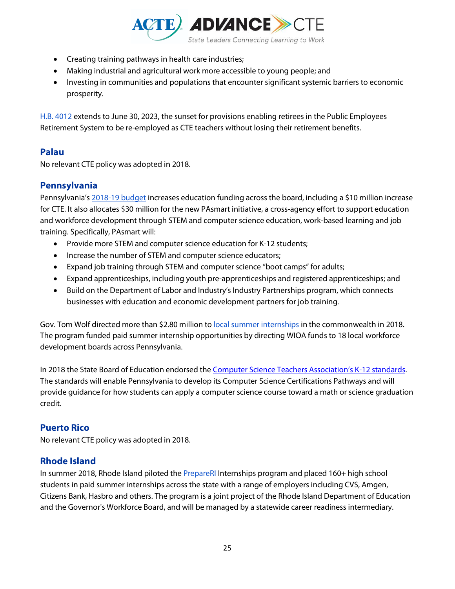

- Creating training pathways in health care industries;
- Making industrial and agricultural work more accessible to young people; and
- Investing in communities and populations that encounter significant systemic barriers to economic prosperity.

[H.B. 4012](https://olis.leg.state.or.us/liz/2018R1/Downloads/MeasureDocument/HB4012/Enrolled) extends to June 30, 2023, the sunset for provisions enabling retirees in the Public Employees Retirement System to be re-employed as CTE teachers without losing their retirement benefits.

## **Palau**

No relevant CTE policy was adopted in 2018.

## **Pennsylvania**

Pennsylvania's [2018-19 budget](https://www.governor.pa.gov/bipartisan-budget-bolsters-economy-workforce-through-education-skills-training/) increases education funding across the board, including a \$10 million increase for CTE. It also allocates \$30 million for the new PAsmart initiative, a cross-agency effort to support education and workforce development through STEM and computer science education, work-based learning and job training. Specifically, PAsmart will:

- Provide more STEM and computer science education for K-12 students;
- Increase the number of STEM and computer science educators;
- Expand job training through STEM and computer science "boot camps" for adults;
- Expand apprenticeships, including youth pre-apprenticeships and registered apprenticeships; and
- Build on the Department of Labor and Industry's Industry Partnerships program, which connects businesses with education and economic development partners for job training.

Gov. Tom Wolf directed more than \$2.80 million t[o local summer internships](https://www.governor.pa.gov/pennsylvania-investing-2-8-million-expand-summer-internship-programs/) in the commonwealth in 2018. The program funded paid summer internship opportunities by directing WIOA funds to 18 local workforce development boards across Pennsylvania.

In 2018 the State Board of Education endorsed the Computer Science Teachers Association's K-12 standards. The standards will enable Pennsylvania to develop its Computer Science Certifications Pathways and will provide guidance for how students can apply a computer science course toward a math or science graduation credit.

## **Puerto Rico**

No relevant CTE policy was adopted in 2018.

## **Rhode Island**

In summer 2018, Rhode Island piloted the **PrepareRI** Internships program and placed 160+ high school students in paid summer internships across the state with a range of employers including CVS, Amgen, Citizens Bank, Hasbro and others. The program is a joint project of the Rhode Island Department of Education and the Governor's Workforce Board, and will be managed by a statewide career readiness intermediary.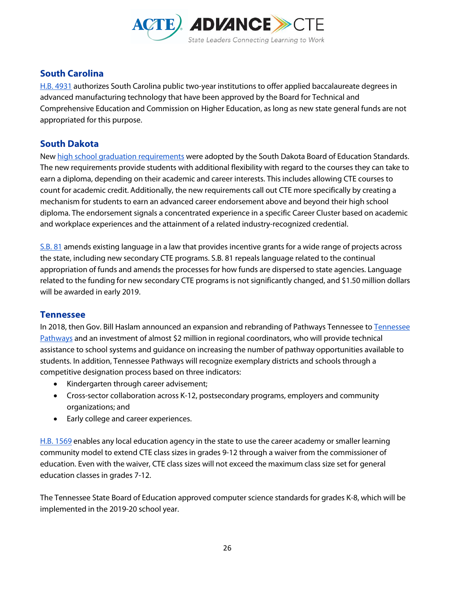

## **South Carolina**

[H.B. 4931](https://www.scstatehouse.gov/billsearch.php?billnumbers=4931&session=122&summary=B) authorizes South Carolina public two-year institutions to offer applied baccalaureate degrees in advanced manufacturing technology that have been approved by the Board for Technical and Comprehensive Education and Commission on Higher Education, as long as new state general funds are not appropriated for this purpose.

## **South Dakota**

New [high school graduation requirements](https://doe.sd.gov/gradrequirements) were adopted by the South Dakota Board of Education Standards. The new requirements provide students with additional flexibility with regard to the courses they can take to earn a diploma, depending on their academic and career interests. This includes allowing CTE courses to count for academic credit. Additionally, the new requirements call out CTE more specifically by creating a mechanism for students to earn an advanced career endorsement above and beyond their high school diploma. The endorsement signals a concentrated experience in a specific Career Cluster based on academic and workplace experiences and the attainment of a related industry-recognized credential.

[S.B. 81](http://sdlegislature.gov/docs/legsession/2018/Bills/SB81ENR.pdf) amends existing language in a law that provides incentive grants for a wide range of projects across the state, including new secondary CTE programs. S.B. 81 repeals language related to the continual appropriation of funds and amends the processes for how funds are dispersed to state agencies. Language related to the funding for new secondary CTE programs is not significantly changed, and \$1.50 million dollars will be awarded in early 2019.

## **Tennessee**

In 2018, then Gov. Bill Haslam announced an expansion and rebranding of Pathways Tennessee to Tennessee [Pathways](https://www.tn.gov/education/news/2018/7/12/governor-haslam-and-commissioner-mcqueen-launch-tennessee-pathways.html) and an investment of almost \$2 million in regional coordinators, who will provide technical assistance to school systems and guidance on increasing the number of pathway opportunities available to students. In addition, Tennessee Pathways will recognize exemplary districts and schools through a competitive designation process based on three indicators:

- Kindergarten through career advisement;
- Cross-sector collaboration across K-12, postsecondary programs, employers and community organizations; and
- Early college and career experiences.

[H.B. 1569](http://publications.tnsosfiles.com/acts/110/pub/pc0669.pdf) enables any local education agency in the state to use the career academy or smaller learning community model to extend CTE class sizes in grades 9-12 through a waiver from the commissioner of education. Even with the waiver, CTE class sizes will not exceed the maximum class size set for general education classes in grades 7-12.

The Tennessee State Board of Education approved computer science standards for grades K-8, which will be implemented in the 2019-20 school year.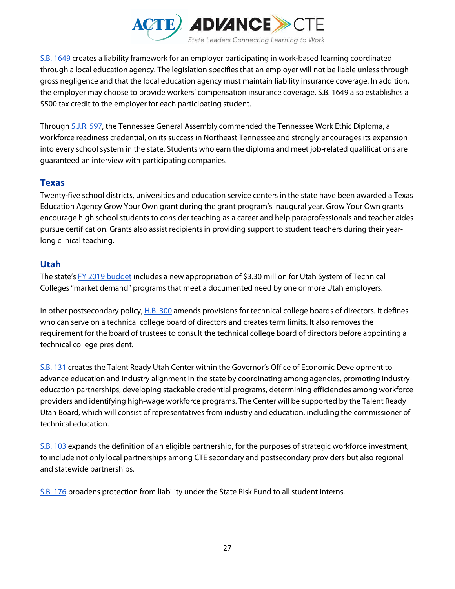

[S.B. 1649](https://publications.tnsosfiles.com/acts/110/pub/pc0991.pdf) creates a liability framework for an employer participating in work-based learning coordinated through a local education agency. The legislation specifies that an employer will not be liable unless through gross negligence and that the local education agency must maintain liability insurance coverage. In addition, the employer may choose to provide workers' compensation insurance coverage. S.B. 1649 also establishes a \$500 tax credit to the employer for each participating student.

Through [S.J.R. 597,](http://wapp.capitol.tn.gov/apps/Billinfo/default.aspx?BillNumber=SJR0597&ga=110) the Tennessee General Assembly commended the Tennessee Work Ethic Diploma, a workforce readiness credential, on its success in Northeast Tennessee and strongly encourages its expansion into every school system in the state. Students who earn the diploma and meet job-related qualifications are guaranteed an interview with participating companies.

## **Texas**

Twenty-five school districts, universities and education service centers in the state have been awarded a Texas Education Agency Grow Your Own grant during the grant program's inaugural year. Grow Your Own grants encourage high school students to consider teaching as a career and help paraprofessionals and teacher aides pursue certification. Grants also assist recipients in providing support to student teachers during their yearlong clinical teaching.

## **Utah**

The state's [FY 2019 budget](https://le.utah.gov/interim/2018/pdf/00002208.pdf) includes a new appropriation of \$3.30 million for Utah System of Technical Colleges "market demand" programs that meet a documented need by one or more Utah employers.

In other postsecondary policy[, H.B. 300](https://le.utah.gov/%7E2018/bills/hbillenr/HB0300.pdf) amends provisions for technical college boards of directors. It defines who can serve on a technical college board of directors and creates term limits. It also removes the requirement for the board of trustees to consult the technical college board of directors before appointing a technical college president.

[S.B. 131](https://le.utah.gov/%7E2018/bills/sbillenr/SB0131.pdf) creates the Talent Ready Utah Center within the Governor's Office of Economic Development to advance education and industry alignment in the state by coordinating among agencies, promoting industryeducation partnerships, developing stackable credential programs, determining efficiencies among workforce providers and identifying high-wage workforce programs. The Center will be supported by the Talent Ready Utah Board, which will consist of representatives from industry and education, including the commissioner of technical education.

[S.B. 103](https://le.utah.gov/%7E2018/bills/sbillenr/SB0103.pdf) expands the definition of an eligible partnership, for the purposes of strategic workforce investment, to include not only local partnerships among CTE secondary and postsecondary providers but also regional and statewide partnerships.

[S.B. 176](https://le.utah.gov/%7E2018/bills/sbillenr/SB0176.pdf) broadens protection from liability under the State Risk Fund to all student interns.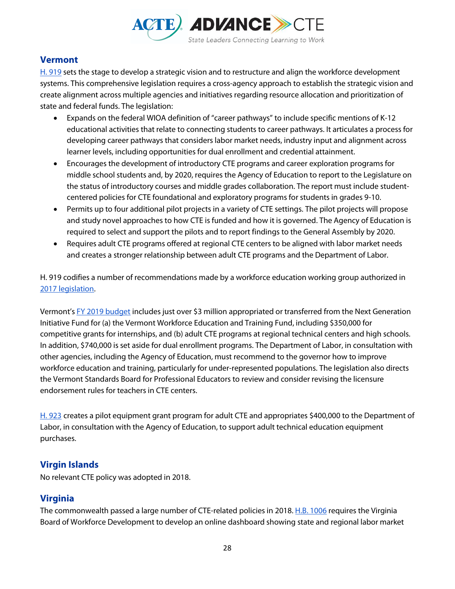

## **Vermont**

[H. 919](https://legislature.vermont.gov/assets/Documents/2018/Docs/ACTS/ACT189/ACT189%20As%20Enacted.pdf) sets the stage to develop a strategic vision and to restructure and align the workforce development systems. This comprehensive legislation requires a cross-agency approach to establish the strategic vision and create alignment across multiple agencies and initiatives regarding resource allocation and prioritization of state and federal funds. The legislation:

- Expands on the federal WIOA definition of "career pathways" to include specific mentions of K-12 educational activities that relate to connecting students to career pathways. It articulates a process for developing career pathways that considers labor market needs, industry input and alignment across learner levels, including opportunities for dual enrollment and credential attainment.
- Encourages the development of introductory CTE programs and career exploration programs for middle school students and, by 2020, requires the Agency of Education to report to the Legislature on the status of introductory courses and middle grades collaboration. The report must include studentcentered policies for CTE foundational and exploratory programs for students in grades 9-10.
- Permits up to four additional pilot projects in a variety of CTE settings. The pilot projects will propose and study novel approaches to how CTE is funded and how it is governed. The Agency of Education is required to select and support the pilots and to report findings to the General Assembly by 2020.
- Requires adult CTE programs offered at regional CTE centers to be aligned with labor market needs and creates a stronger relationship between adult CTE programs and the Department of Labor.

H. 919 codifies a number of recommendations made by a workforce education working group authorized in [2017 legislation.](https://legislature.vermont.gov/assets/Documents/2018/Docs/ACTS/ACT069/ACT069%20As%20Enacted.pdf)

Vermont's [FY 2019 budget](https://legislature.vermont.gov/assets/Documents/2018.1/Docs/Acts/ACT011/ACT011%20As%20Enacted.pdf) includes just over \$3 million appropriated or transferred from the Next Generation Initiative Fund for (a) the Vermont Workforce Education and Training Fund, including \$350,000 for competitive grants for internships, and (b) adult CTE programs at regional technical centers and high schools. In addition, \$740,000 is set aside for dual enrollment programs. The Department of Labor, in consultation with other agencies, including the Agency of Education, must recommend to the governor how to improve workforce education and training, particularly for under-represented populations. The legislation also directs the Vermont Standards Board for Professional Educators to review and consider revising the licensure endorsement rules for teachers in CTE centers.

[H. 923](https://legislature.vermont.gov/assets/Documents/2018/Docs/ACTS/ACT190/ACT190%20As%20Enacted.pdf) creates a pilot equipment grant program for adult CTE and appropriates \$400,000 to the Department of Labor, in consultation with the Agency of Education, to support adult technical education equipment purchases.

## **Virgin Islands**

No relevant CTE policy was adopted in 2018.

## **Virginia**

The commonwealth passed a large number of CTE-related policies in 2018[. H.B. 1006](http://lis.virginia.gov/cgi-bin/legp604.exe?181+ful+CHAP0225+pdf) requires the Virginia Board of Workforce Development to develop an online dashboard showing state and regional labor market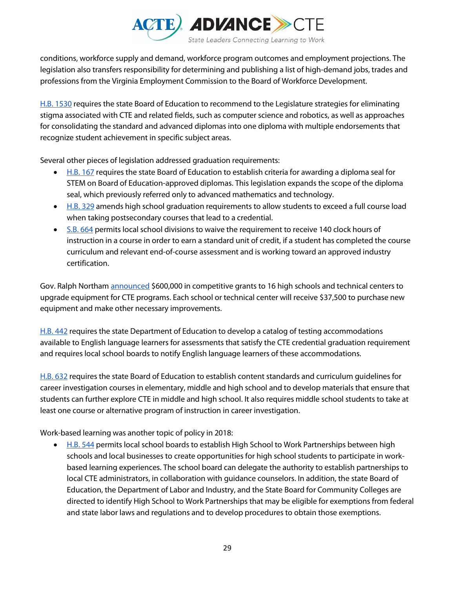

conditions, workforce supply and demand, workforce program outcomes and employment projections. The legislation also transfers responsibility for determining and publishing a list of high-demand jobs, trades and professions from the Virginia Employment Commission to the Board of Workforce Development.

[H.B. 1530](https://lis.virginia.gov/cgi-bin/legp604.exe?181+ful+CHAP0517+pdf) requires the state Board of Education to recommend to the Legislature strategies for eliminating stigma associated with CTE and related fields, such as computer science and robotics, as well as approaches for consolidating the standard and advanced diplomas into one diploma with multiple endorsements that recognize student achievement in specific subject areas.

Several other pieces of legislation addressed graduation requirements:

- [H.B. 167](http://lis.virginia.gov/cgi-bin/legp604.exe?181+ful+CHAP0482+pdf) requires the state Board of Education to establish criteria for awarding a diploma seal for STEM on Board of Education-approved diplomas. This legislation expands the scope of the diploma seal, which previously referred only to advanced mathematics and technology.
- [H.B. 329](http://lis.virginia.gov/cgi-bin/legp604.exe?181+ful+CHAP0512+pdf) amends high school graduation requirements to allow students to exceed a full course load when taking postsecondary courses that lead to a credential.
- [S.B. 664](http://lis.virginia.gov/cgi-bin/legp604.exe?181+ful+CHAP0592+pdf) permits local school divisions to waive the requirement to receive 140 clock hours of instruction in a course in order to earn a standard unit of credit, if a student has completed the course curriculum and relevant end-of-course assessment and is working toward an approved industry certification.

Gov. Ralph Northam **announced** \$600,000 in competitive grants to 16 high schools and technical centers to upgrade equipment for CTE programs. Each school or technical center will receive \$37,500 to purchase new equipment and make other necessary improvements.

[H.B. 442](http://lis.virginia.gov/cgi-bin/legp604.exe?181+ful+CHAP0139+pdf) requires the state Department of Education to develop a catalog of testing accommodations available to English language learners for assessments that satisfy the CTE credential graduation requirement and requires local school boards to notify English language learners of these accommodations.

[H.B. 632](http://lis.virginia.gov/cgi-bin/legp604.exe?181+ful+CHAP0485+pdf) requires the state Board of Education to establish content standards and curriculum guidelines for career investigation courses in elementary, middle and high school and to develop materials that ensure that students can further explore CTE in middle and high school. It also requires middle school students to take at least one course or alternative program of instruction in career investigation.

Work-based learning was another topic of policy in 2018:

• [H.B. 544](http://lis.virginia.gov/cgi-bin/legp604.exe?181+ful+CHAP0388+pdf) permits local school boards to establish High School to Work Partnerships between high schools and local businesses to create opportunities for high school students to participate in workbased learning experiences. The school board can delegate the authority to establish partnerships to local CTE administrators, in collaboration with guidance counselors. In addition, the state Board of Education, the Department of Labor and Industry, and the State Board for Community Colleges are directed to identify High School to Work Partnerships that may be eligible for exemptions from federal and state labor laws and regulations and to develop procedures to obtain those exemptions.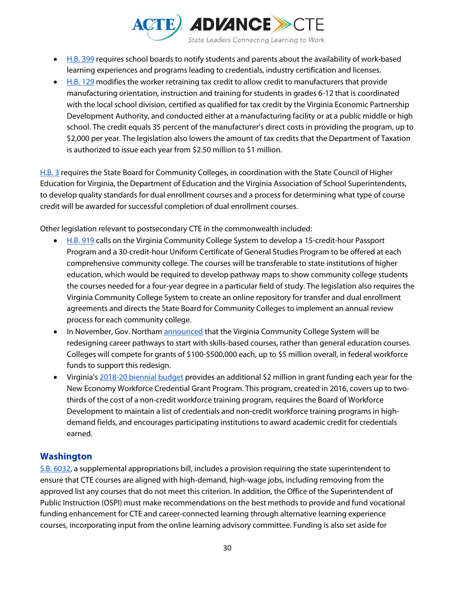

- [H.B. 399](http://lis.virginia.gov/cgi-bin/legp604.exe?181+ful+CHAP0138+pdf) requires school boards to notify students and parents about the availability of work-based learning experiences and programs leading to credentials, industry certification and licenses.
- [H.B. 129](https://lis.virginia.gov/cgi-bin/legp604.exe?181+ful+CHAP0500+pdf) modifies the worker retraining tax credit to allow credit to manufacturers that provide manufacturing orientation, instruction and training for students in grades 6-12 that is coordinated with the local school division, certified as qualified for tax credit by the Virginia Economic Partnership Development Authority, and conducted either at a manufacturing facility or at a public middle or high school. The credit equals 35 percent of the manufacturer's direct costs in providing the program, up to \$2,000 per year. The legislation also lowers the amount of tax credits that the Department of Taxation is authorized to issue each year from \$2.50 million to \$1 million.

[H.B. 3](http://lis.virginia.gov/cgi-bin/legp604.exe?181+ful+CHAP0787+pdf) requires the State Board for Community Colleges, in coordination with the State Council of Higher Education for Virginia, the Department of Education and the Virginia Association of School Superintendents, to develop quality standards for dual enrollment courses and a process for determining what type of course credit will be awarded for successful completion of dual enrollment courses.

Other legislation relevant to postsecondary CTE in the commonwealth included:

- [H.B. 919](http://lis.virginia.gov/cgi-bin/legp604.exe?181+ful+CHAP0832+pdf) calls on the Virginia Community College System to develop a 15-credit-hour Passport Program and a 30-credit-hour Uniform Certificate of General Studies Program to be offered at each comprehensive community college. The courses will be transferable to state institutions of higher education, which would be required to develop pathway maps to show community college students the courses needed for a four-year degree in a particular field of study. The legislation also requires the Virginia Community College System to create an online repository for transfer and dual enrollment agreements and directs the State Board for Community Colleges to implement an annual review process for each community college.
- In November, Gov. Northam [announced](https://www.governor.virginia.gov/newsroom/all-releases/2018/november/headline-836679-en.html) that the Virginia Community College System will be redesigning career pathways to start with skills-based courses, rather than general education courses. Colleges will compete for grants of \$100-\$500,000 each, up to \$5 million overall, in federal workforce funds to support this redesign.
- Virginia's [2018-20 biennial budget](https://budget.lis.virginia.gov/item/2018/2/HB5002/Chapter/1/128/) provides an additional \$2 million in grant funding each year for the New Economy Workforce Credential Grant Program. This program, created in 2016, covers up to twothirds of the cost of a non-credit workforce training program, requires the Board of Workforce Development to maintain a list of credentials and non-credit workforce training programs in highdemand fields, and encourages participating institutions to award academic credit for credentials earned.

## **Washington**

[S.B. 6032,](http://lawfilesext.leg.wa.gov/biennium/2017-18/Pdf/Bills/Session%20Laws/Senate/6032-S.SL.pdf) a supplemental appropriations bill, includes a provision requiring the state superintendent to ensure that CTE courses are aligned with high-demand, high-wage jobs, including removing from the approved list any courses that do not meet this criterion. In addition, the Office of the Superintendent of Public Instruction (OSPI) must make recommendations on the best methods to provide and fund vocational funding enhancement for CTE and career-connected learning through alternative learning experience courses, incorporating input from the online learning advisory committee. Funding is also set aside for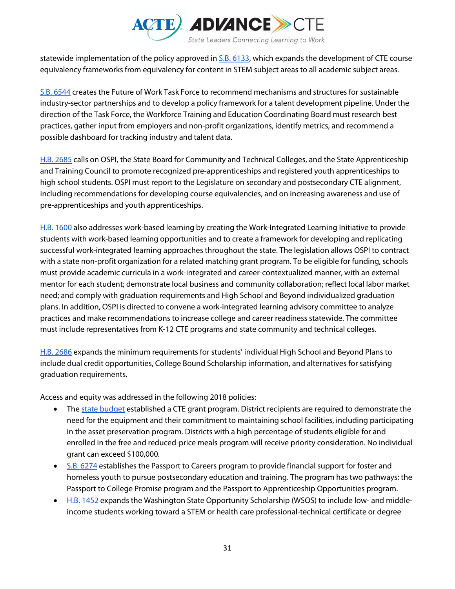

statewide implementation of the policy approved i[n S.B. 6133,](http://lawfilesext.leg.wa.gov/biennium/2017-18/Pdf/Bills/Session%20Laws/Senate/6133-S.SL.pdf) which expands the development of CTE course equivalency frameworks from equivalency for content in STEM subject areas to all academic subject areas.

[S.B. 6544](http://lawfilesext.leg.wa.gov/biennium/2017-18/Pdf/Bills/Session%20Laws/Senate/6544-S.SL.pdf) creates the Future of Work Task Force to recommend mechanisms and structures for sustainable industry-sector partnerships and to develop a policy framework for a talent development pipeline. Under the direction of the Task Force, the Workforce Training and Education Coordinating Board must research best practices, gather input from employers and non-profit organizations, identify metrics, and recommend a possible dashboard for tracking industry and talent data.

[H.B. 2685](http://lawfilesext.leg.wa.gov/biennium/2017-18/Pdf/Bills/Session%20Laws/House/2685-S.SL.pdf) calls on OSPI, the State Board for Community and Technical Colleges, and the State Apprenticeship and Training Council to promote recognized pre-apprenticeships and registered youth apprenticeships to high school students. OSPI must report to the Legislature on secondary and postsecondary CTE alignment, including recommendations for developing course equivalencies, and on increasing awareness and use of pre-apprenticeships and youth apprenticeships.

[H.B. 1600](http://lawfilesext.leg.wa.gov/biennium/2017-18/Pdf/Bills/Session%20Laws/House/1600-S2.SL.pdf) also addresses work-based learning by creating the Work-Integrated Learning Initiative to provide students with work-based learning opportunities and to create a framework for developing and replicating successful work-integrated learning approaches throughout the state. The legislation allows OSPI to contract with a state non-profit organization for a related matching grant program. To be eligible for funding, schools must provide academic curricula in a work-integrated and career-contextualized manner, with an external mentor for each student; demonstrate local business and community collaboration; reflect local labor market need; and comply with graduation requirements and High School and Beyond individualized graduation plans. In addition, OSPI is directed to convene a work-integrated learning advisory committee to analyze practices and make recommendations to increase college and career readiness statewide. The committee must include representatives from K-12 CTE programs and state community and technical colleges.

[H.B. 2686](http://lawfilesext.leg.wa.gov/biennium/2017-18/Pdf/Bills/Session%20Laws/House/2686-S.SL.pdf) expands the minimum requirements for students' individual High School and Beyond Plans to include dual credit opportunities, College Bound Scholarship information, and alternatives for satisfying graduation requirements.

Access and equity was addressed in the following 2018 policies:

- Th[e state budget](http://lawfilesext.leg.wa.gov/biennium/2017-18/Pdf/Bills/Session%20Laws/Senate/6090-S.SL.pdf) established a CTE grant program. District recipients are required to demonstrate the need for the equipment and their commitment to maintaining school facilities, including participating in the asset preservation program. Districts with a high percentage of students eligible for and enrolled in the free and reduced-price meals program will receive priority consideration. No individual grant can exceed \$100,000.
- [S.B. 6274](http://lawfilesext.leg.wa.gov/biennium/2017-18/Pdf/Bills/Session%20Laws/Senate/6274-S2.SL.pdf) establishes the Passport to Careers program to provide financial support for foster and homeless youth to pursue postsecondary education and training. The program has two pathways: the Passport to College Promise program and the Passport to Apprenticeship Opportunities program.
- [H.B. 1452](http://lawfilesext.leg.wa.gov/biennium/2017-18/Pdf/Bills/Session%20Laws/House/1452.SL.pdf) expands the Washington State Opportunity Scholarship (WSOS) to include low- and middleincome students working toward a STEM or health care professional-technical certificate or degree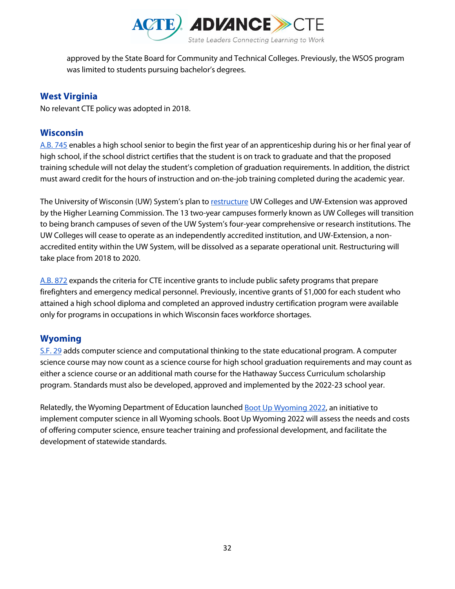

approved by the State Board for Community and Technical Colleges. Previously, the WSOS program was limited to students pursuing bachelor's degrees.

## **West Virginia**

No relevant CTE policy was adopted in 2018.

## **Wisconsin**

[A.B. 745](https://docs.legis.wisconsin.gov/2017/related/acts/273.pdf) enables a high school senior to begin the first year of an apprenticeship during his or her final year of high school, if the school district certifies that the student is on track to graduate and that the proposed training schedule will not delay the student's completion of graduation requirements. In addition, the district must award credit for the hours of instruction and on-the-job training completed during the academic year.

The University of Wisconsin (UW) System's plan to [restructure](https://uwm.edu/uw-colleges-restructuring/news-release-uw-system-restructuring-is-given-seal-of-approval-by-the-higher-learning-commission-june-29-2018/) UW Colleges and UW-Extension was approved by the Higher Learning Commission. The 13 two-year campuses formerly known as UW Colleges will transition to being branch campuses of seven of the UW System's four-year comprehensive or research institutions. The UW Colleges will cease to operate as an independently accredited institution, and UW-Extension, a nonaccredited entity within the UW System, will be dissolved as a separate operational unit. Restructuring will take place from 2018 to 2020.

[A.B. 872](http://docs.legis.wisconsin.gov/2017/related/acts/336.pdf) expands the criteria for CTE incentive grants to include public safety programs that prepare firefighters and emergency medical personnel. Previously, incentive grants of \$1,000 for each student who attained a high school diploma and completed an approved industry certification program were available only for programs in occupations in which Wisconsin faces workforce shortages.

## **Wyoming**

[S.F. 29](https://www.wyoleg.gov/2018/Enroll/SF0029.PDF) adds computer science and computational thinking to the state educational program. A computer science course may now count as a science course for high school graduation requirements and may count as either a science course or an additional math course for the Hathaway Success Curriculum scholarship program. Standards must also be developed, approved and implemented by the 2022-23 school year.

Relatedly, the Wyoming Department of Education launched **Boot Up Wyoming 2022**, an initiative to implement computer science in all Wyoming schools. Boot Up Wyoming 2022 will assess the needs and costs of offering computer science, ensure teacher training and professional development, and facilitate the development of statewide standards.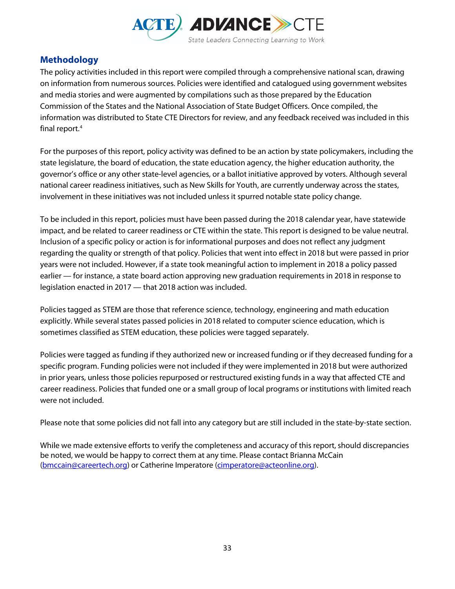

## **Methodology**

The policy activities included in this report were compiled through a comprehensive national scan, drawing on information from numerous sources. Policies were identified and catalogued using government websites and media stories and were augmented by compilations such as those prepared by the Education Commission of the States and the National Association of State Budget Officers. Once compiled, the information was distributed to State CTE Directors for review, and any feedback received was included in this final report.<sup>[4](#page-33-3)</sup>

For the purposes of this report, policy activity was defined to be an action by state policymakers, including the state legislature, the board of education, the state education agency, the higher education authority, the governor's office or any other state-level agencies, or a ballot initiative approved by voters. Although several national career readiness initiatives, such as New Skills for Youth, are currently underway across the states, involvement in these initiatives was not included unless it spurred notable state policy change.

To be included in this report, policies must have been passed during the 2018 calendar year, have statewide impact, and be related to career readiness or CTE within the state. This report is designed to be value neutral. Inclusion of a specific policy or action is for informational purposes and does not reflect any judgment regarding the quality or strength of that policy. Policies that went into effect in 2018 but were passed in prior years were not included. However, if a state took meaningful action to implement in 2018 a policy passed earlier — for instance, a state board action approving new graduation requirements in 2018 in response to legislation enacted in 2017 — that 2018 action was included.

Policies tagged as STEM are those that reference science, technology, engineering and math education explicitly. While several states passed policies in 2018 related to computer science education, which is sometimes classified as STEM education, these policies were tagged separately.

Policies were tagged as funding if they authorized new or increased funding or if they decreased funding for a specific program. Funding policies were not included if they were implemented in 2018 but were authorized in prior years, unless those policies repurposed or restructured existing funds in a way that affected CTE and career readiness. Policies that funded one or a small group of local programs or institutions with limited reach were not included.

Please note that some policies did not fall into any category but are still included in the state-by-state section.

While we made extensive efforts to verify the completeness and accuracy of this report, should discrepancies be noted, we would be happy to correct them at any time. Please contact Brianna McCain [\(bmccain@careertech.org\)](mailto:bmccain@careertech.org) or Catherine Imperatore [\(cimperatore@acteonline.org\)](mailto:cimperatore@acteonline.org).